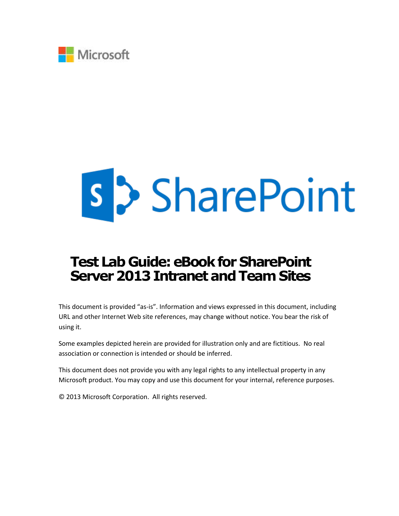

# s > SharePoint

# **Test Lab Guide: eBook for SharePoint Server 2013 Intranet and Team Sites**

This document is provided "as-is". Information and views expressed in this document, including URL and other Internet Web site references, may change without notice. You bear the risk of using it.

Some examples depicted herein are provided for illustration only and are fictitious. No real association or connection is intended or should be inferred.

This document does not provide you with any legal rights to any intellectual property in any Microsoft product. You may copy and use this document for your internal, reference purposes.

© 2013 Microsoft Corporation. All rights reserved.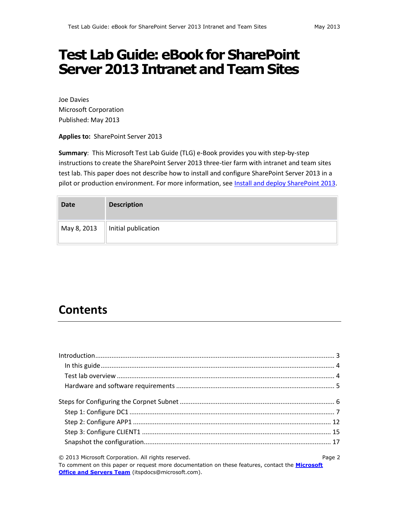# **Test Lab Guide: eBook for SharePoint Server 2013 Intranet and Team Sites**

Joe Davies Microsoft Corporation Published: May 2013

**Applies to:** SharePoint Server 2013

**Summary**: This Microsoft Test Lab Guide (TLG) e-Book provides you with step-by-step instructions to create the SharePoint Server 2013 three-tier farm with intranet and team sites test lab. This paper does not describe how to install and configure SharePoint Server 2013 in a pilot or production environment. For more information, se[e Install and deploy SharePoint 2013.](http://technet.microsoft.com/en-US/sharepoint/fp142376)

| <b>Date</b> | <b>Description</b>              |
|-------------|---------------------------------|
| May 8, 2013 | $\parallel$ Initial publication |

# **Contents**

| © 2013 Microsoft Corporation. All rights reserved. | Page 2 |
|----------------------------------------------------|--------|

To comment on this paper or request more documentation on these features, contact the **[Microsoft](mailto:itspdocs@microsoft.com?subject=Test%20Lab%20Guide%20feedback:)  [Office and Servers Team](mailto:itspdocs@microsoft.com?subject=Test%20Lab%20Guide%20feedback:)** (itspdocs@microsoft.com).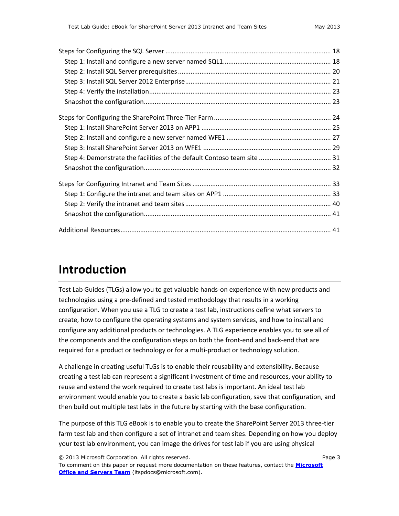# <span id="page-2-0"></span>**Introduction**

Test Lab Guides (TLGs) allow you to get valuable hands-on experience with new products and technologies using a pre-defined and tested methodology that results in a working configuration. When you use a TLG to create a test lab, instructions define what servers to create, how to configure the operating systems and system services, and how to install and configure any additional products or technologies. A TLG experience enables you to see all of the components and the configuration steps on both the front-end and back-end that are required for a product or technology or for a multi-product or technology solution.

A challenge in creating useful TLGs is to enable their reusability and extensibility. Because creating a test lab can represent a significant investment of time and resources, your ability to reuse and extend the work required to create test labs is important. An ideal test lab environment would enable you to create a basic lab configuration, save that configuration, and then build out multiple test labs in the future by starting with the base configuration.

The purpose of this TLG eBook is to enable you to create the SharePoint Server 2013 three-tier farm test lab and then configure a set of intranet and team sites. Depending on how you deploy your test lab environment, you can image the drives for test lab if you are using physical

© 2013 Microsoft Corporation. All rights reserved. Page 3

To comment on this paper or request more documentation on these features, contact the **[Microsoft](mailto:itspdocs@microsoft.com?subject=Test%20Lab%20Guide%20feedback:)  [Office and Servers Team](mailto:itspdocs@microsoft.com?subject=Test%20Lab%20Guide%20feedback:)** (itspdocs@microsoft.com).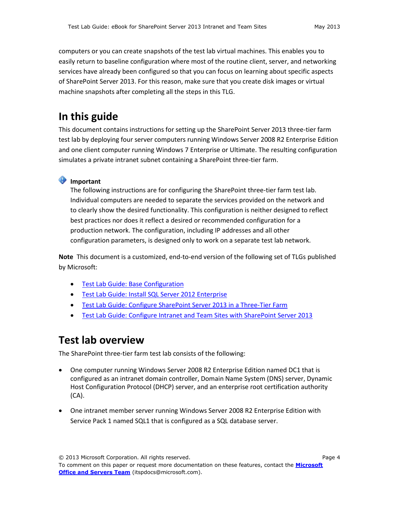computers or you can create snapshots of the test lab virtual machines. This enables you to easily return to baseline configuration where most of the routine client, server, and networking services have already been configured so that you can focus on learning about specific aspects of SharePoint Server 2013. For this reason, make sure that you create disk images or virtual machine snapshots after completing all the steps in this TLG.

## <span id="page-3-0"></span>**In this guide**

This document contains instructions for setting up the SharePoint Server 2013 three-tier farm test lab by deploying four server computers running Windows Server 2008 R2 Enterprise Edition and one client computer running Windows 7 Enterprise or Ultimate. The resulting configuration simulates a private intranet subnet containing a SharePoint three-tier farm.

#### **Important**

The following instructions are for configuring the SharePoint three-tier farm test lab. Individual computers are needed to separate the services provided on the network and to clearly show the desired functionality. This configuration is neither designed to reflect best practices nor does it reflect a desired or recommended configuration for a production network. The configuration, including IP addresses and all other configuration parameters, is designed only to work on a separate test lab network.

<span id="page-3-1"></span>**Note** This document is a customized, end-to-end version of the following set of TLGs published by Microsoft:

- **[Test Lab Guide: Base Configuration](http://go.microsoft.com/fwlink/?LinkId=198140)**
- [Test Lab Guide: Install SQL Server 2012 Enterprise](http://www.microsoft.com/download/en/details.aspx?displaylang=en&id=29572)
- [Test Lab Guide: Configure SharePoint Server 2013 in a Three-Tier Farm](http://go.microsoft.com/fwlink/p/?LinkId=255045)
- [Test Lab Guide: Configure Intranet and Team Sites with SharePoint Server 2013](http://go.microsoft.com/fwlink/p/?LinkId=255055)

## **Test lab overview**

The SharePoint three-tier farm test lab consists of the following:

- One computer running Windows Server 2008 R2 Enterprise Edition named DC1 that is configured as an intranet domain controller, Domain Name System (DNS) server, Dynamic Host Configuration Protocol (DHCP) server, and an enterprise root certification authority (CA).
- One intranet member server running Windows Server 2008 R2 Enterprise Edition with Service Pack 1 named SQL1 that is configured as a SQL database server.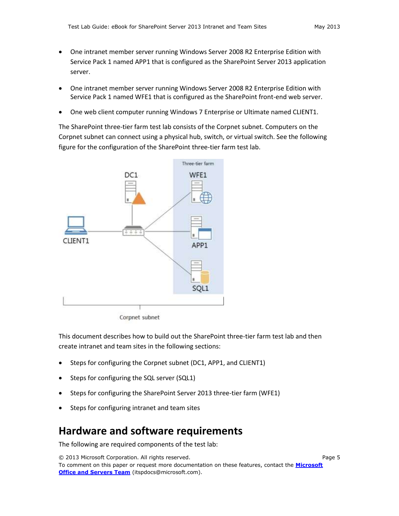- One intranet member server running Windows Server 2008 R2 Enterprise Edition with Service Pack 1 named APP1 that is configured as the SharePoint Server 2013 application server.
- One intranet member server running Windows Server 2008 R2 Enterprise Edition with Service Pack 1 named WFE1 that is configured as the SharePoint front-end web server.
- One web client computer running Windows 7 Enterprise or Ultimate named CLIENT1.

The SharePoint three-tier farm test lab consists of the Corpnet subnet. Computers on the Corpnet subnet can connect using a physical hub, switch, or virtual switch. See the following figure for the configuration of the SharePoint three-tier farm test lab.



Corpnet subnet

This document describes how to build out the SharePoint three-tier farm test lab and then create intranet and team sites in the following sections:

- Steps for configuring the Corpnet subnet (DC1, APP1, and CLIENT1)
- Steps for configuring the SQL server (SQL1)
- Steps for configuring the SharePoint Server 2013 three-tier farm (WFE1)
- Steps for configuring intranet and team sites

## <span id="page-4-0"></span>**Hardware and software requirements**

The following are required components of the test lab:

© 2013 Microsoft Corporation. All rights reserved. Page 5 To comment on this paper or request more documentation on these features, contact the **[Microsoft](mailto:itspdocs@microsoft.com?subject=Test%20Lab%20Guide%20feedback:)  [Office and Servers Team](mailto:itspdocs@microsoft.com?subject=Test%20Lab%20Guide%20feedback:)** (itspdocs@microsoft.com).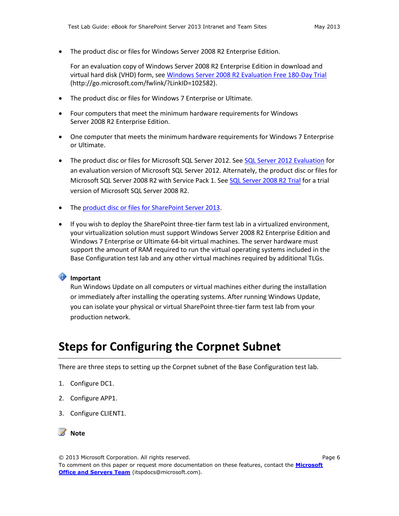The product disc or files for Windows Server 2008 R2 Enterprise Edition.

For an evaluation copy of Windows Server 2008 R2 Enterprise Edition in download and virtual hard disk (VHD) form, see [Windows Server 2008 R2 Evaluation Free 180-Day Trial](http://go.microsoft.com/fwlink/?LinkID=102582) (http://go.microsoft.com/fwlink/?LinkID=102582).

- The product disc or files for Windows 7 Enterprise or Ultimate.
- Four computers that meet the minimum hardware requirements for Windows Server 2008 R2 Enterprise Edition.
- One computer that meets the minimum hardware requirements for Windows 7 Enterprise or Ultimate.
- The product disc or files for Microsoft SQL Server 2012. See [SQL Server 2012 Evaluation](http://go.microsoft.com/fwlink/p/?id=29066) for an evaluation version of Microsoft SQL Server 2012. Alternately, the product disc or files for Microsoft SQL Server 2008 R2 with Service Pack 1. Se[e SQL Server 2008 R2 Trial](http://www.isaserver.org/tutorials/Test-Lab-Guide-Part1.html) for a trial version of Microsoft SQL Server 2008 R2.
- The [product disc or files for SharePoint Server 2013.](http://go.microsoft.com/fwlink/p/?LinkId=257555)
- If you wish to deploy the SharePoint three-tier farm test lab in a virtualized environment, your virtualization solution must support Windows Server 2008 R2 Enterprise Edition and Windows 7 Enterprise or Ultimate 64-bit virtual machines. The server hardware must support the amount of RAM required to run the virtual operating systems included in the Base Configuration test lab and any other virtual machines required by additional TLGs.

#### **Important**

Run Windows Update on all computers or virtual machines either during the installation or immediately after installing the operating systems. After running Windows Update, you can isolate your physical or virtual SharePoint three-tier farm test lab from your production network.

## <span id="page-5-0"></span>**Steps for Configuring the Corpnet Subnet**

There are three steps to setting up the Corpnet subnet of the Base Configuration test lab.

- 1. Configure DC1.
- 2. Configure APP1.
- 3. Configure CLIENT1.



© 2013 Microsoft Corporation. All rights reserved. Page 6 To comment on this paper or request more documentation on these features, contact the **[Microsoft](mailto:itspdocs@microsoft.com?subject=Test%20Lab%20Guide%20feedback:)  [Office and Servers Team](mailto:itspdocs@microsoft.com?subject=Test%20Lab%20Guide%20feedback:)** (itspdocs@microsoft.com).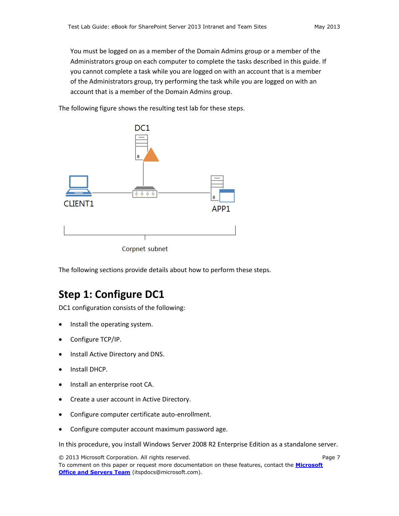You must be logged on as a member of the Domain Admins group or a member of the Administrators group on each computer to complete the tasks described in this guide. If you cannot complete a task while you are logged on with an account that is a member of the Administrators group, try performing the task while you are logged on with an account that is a member of the Domain Admins group.

The following figure shows the resulting test lab for these steps.



The following sections provide details about how to perform these steps.

## <span id="page-6-0"></span>**Step 1: Configure DC1**

DC1 configuration consists of the following:

- Install the operating system.
- Configure TCP/IP.
- Install Active Directory and DNS.
- Install DHCP.
- Install an enterprise root CA.
- Create a user account in Active Directory.
- Configure computer certificate auto-enrollment.
- Configure computer account maximum password age.

In this procedure, you install Windows Server 2008 R2 Enterprise Edition as a standalone server.

© 2013 Microsoft Corporation. All rights reserved. Page 7 To comment on this paper or request more documentation on these features, contact the **[Microsoft](mailto:itspdocs@microsoft.com?subject=Test%20Lab%20Guide%20feedback:)  [Office and Servers Team](mailto:itspdocs@microsoft.com?subject=Test%20Lab%20Guide%20feedback:)** (itspdocs@microsoft.com).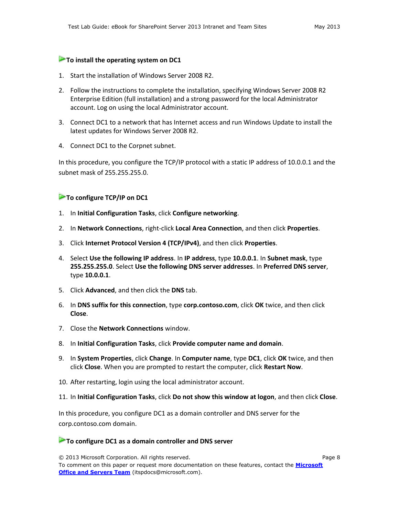#### **To install the operating system on DC1**

- 1. Start the installation of Windows Server 2008 R2.
- 2. Follow the instructions to complete the installation, specifying Windows Server 2008 R2 Enterprise Edition (full installation) and a strong password for the local Administrator account. Log on using the local Administrator account.
- 3. Connect DC1 to a network that has Internet access and run Windows Update to install the latest updates for Windows Server 2008 R2.
- 4. Connect DC1 to the Corpnet subnet.

In this procedure, you configure the TCP/IP protocol with a static IP address of 10.0.0.1 and the subnet mask of 255.255.255.0.

#### **► To configure TCP/IP on DC1**

- 1. In **Initial Configuration Tasks**, click **Configure networking**.
- 2. In **Network Connections**, right-click **Local Area Connection**, and then click **Properties**.
- 3. Click **Internet Protocol Version 4 (TCP/IPv4)**, and then click **Properties**.
- 4. Select **Use the following IP address**. In **IP address**, type **10.0.0.1**. In **Subnet mask**, type **255.255.255.0**. Select **Use the following DNS server addresses**. In **Preferred DNS server**, type **10.0.0.1**.
- 5. Click **Advanced**, and then click the **DNS** tab.
- 6. In **DNS suffix for this connection**, type **corp.contoso.com**, click **OK** twice, and then click **Close**.
- 7. Close the **Network Connections** window.
- 8. In **Initial Configuration Tasks**, click **Provide computer name and domain**.
- 9. In **System Properties**, click **Change**. In **Computer name**, type **DC1**, click **OK** twice, and then click **Close**. When you are prompted to restart the computer, click **Restart Now**.
- 10. After restarting, login using the local administrator account.
- 11. In **Initial Configuration Tasks**, click **Do not show this window at logon**, and then click **Close**.

In this procedure, you configure DC1 as a domain controller and DNS server for the corp.contoso.com domain.

#### **To configure DC1 as a domain controller and DNS server**

© 2013 Microsoft Corporation. All rights reserved. Page 8 To comment on this paper or request more documentation on these features, contact the **[Microsoft](mailto:itspdocs@microsoft.com?subject=Test%20Lab%20Guide%20feedback:)  [Office and Servers Team](mailto:itspdocs@microsoft.com?subject=Test%20Lab%20Guide%20feedback:)** (itspdocs@microsoft.com).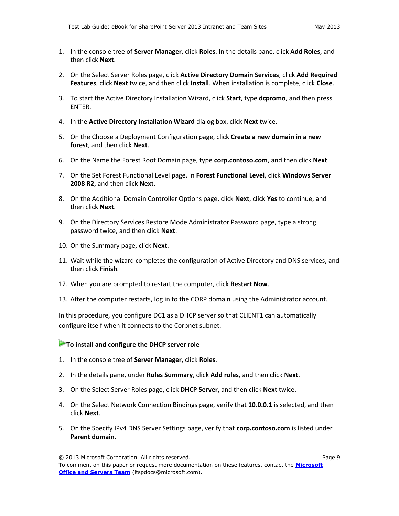- 1. In the console tree of **Server Manager**, click **Roles**. In the details pane, click **Add Roles**, and then click **Next**.
- 2. On the Select Server Roles page, click **Active Directory Domain Services**, click **Add Required Features**, click **Next** twice, and then click **Install**. When installation is complete, click **Close**.
- 3. To start the Active Directory Installation Wizard, click **Start**, type **dcpromo**, and then press ENTER.
- 4. In the **Active Directory Installation Wizard** dialog box, click **Next** twice.
- 5. On the Choose a Deployment Configuration page, click **Create a new domain in a new forest**, and then click **Next**.
- 6. On the Name the Forest Root Domain page, type **corp.contoso.com**, and then click **Next**.
- 7. On the Set Forest Functional Level page, in **Forest Functional Level**, click **Windows Server 2008 R2**, and then click **Next**.
- 8. On the Additional Domain Controller Options page, click **Next**, click **Yes** to continue, and then click **Next**.
- 9. On the Directory Services Restore Mode Administrator Password page, type a strong password twice, and then click **Next**.
- 10. On the Summary page, click **Next**.
- 11. Wait while the wizard completes the configuration of Active Directory and DNS services, and then click **Finish**.
- 12. When you are prompted to restart the computer, click **Restart Now**.
- 13. After the computer restarts, log in to the CORP domain using the Administrator account.

In this procedure, you configure DC1 as a DHCP server so that CLIENT1 can automatically configure itself when it connects to the Corpnet subnet.

#### **To install and configure the DHCP server role**

- 1. In the console tree of **Server Manager**, click **Roles**.
- 2. In the details pane, under **Roles Summary**, click **Add roles**, and then click **Next**.
- 3. On the Select Server Roles page, click **DHCP Server**, and then click **Next** twice.
- 4. On the Select Network Connection Bindings page, verify that **10.0.0.1** is selected, and then click **Next**.
- 5. On the Specify IPv4 DNS Server Settings page, verify that **corp.contoso.com** is listed under **Parent domain**.

© 2013 Microsoft Corporation. All rights reserved. Page 9 To comment on this paper or request more documentation on these features, contact the **[Microsoft](mailto:itspdocs@microsoft.com?subject=Test%20Lab%20Guide%20feedback:)  [Office and Servers Team](mailto:itspdocs@microsoft.com?subject=Test%20Lab%20Guide%20feedback:)** (itspdocs@microsoft.com).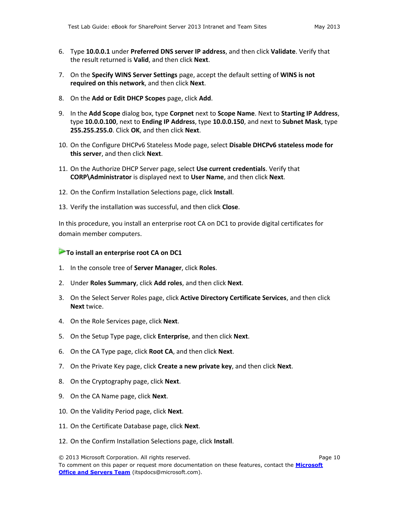- 6. Type **10.0.0.1** under **Preferred DNS server IP address**, and then click **Validate**. Verify that the result returned is **Valid**, and then click **Next**.
- 7. On the **Specify WINS Server Settings** page, accept the default setting of **WINS is not required on this network**, and then click **Next**.
- 8. On the **Add or Edit DHCP Scopes** page, click **Add**.
- 9. In the **Add Scope** dialog box, type **Corpnet** next to **Scope Name**. Next to **Starting IP Address**, type **10.0.0.100**, next to **Ending IP Address**, type **10.0.0.150**, and next to **Subnet Mask**, type **255.255.255.0**. Click **OK**, and then click **Next**.
- 10. On the Configure DHCPv6 Stateless Mode page, select **Disable DHCPv6 stateless mode for this server**, and then click **Next**.
- 11. On the Authorize DHCP Server page, select **Use current credentials**. Verify that **CORP\Administrator** is displayed next to **User Name**, and then click **Next**.
- 12. On the Confirm Installation Selections page, click **Install**.
- 13. Verify the installation was successful, and then click **Close**.

In this procedure, you install an enterprise root CA on DC1 to provide digital certificates for domain member computers.

#### **To install an enterprise root CA on DC1**

- 1. In the console tree of **Server Manager**, click **Roles**.
- 2. Under **Roles Summary**, click **Add roles**, and then click **Next**.
- 3. On the Select Server Roles page, click **Active Directory Certificate Services**, and then click **Next** twice.
- 4. On the Role Services page, click **Next**.
- 5. On the Setup Type page, click **Enterprise**, and then click **Next**.
- 6. On the CA Type page, click **Root CA**, and then click **Next**.
- 7. On the Private Key page, click **Create a new private key**, and then click **Next**.
- 8. On the Cryptography page, click **Next**.
- 9. On the CA Name page, click **Next**.
- 10. On the Validity Period page, click **Next**.
- 11. On the Certificate Database page, click **Next**.
- 12. On the Confirm Installation Selections page, click **Install**.

<sup>© 2013</sup> Microsoft Corporation. All rights reserved. Page 10 To comment on this paper or request more documentation on these features, contact the **[Microsoft](mailto:itspdocs@microsoft.com?subject=Test%20Lab%20Guide%20feedback:)  [Office and Servers Team](mailto:itspdocs@microsoft.com?subject=Test%20Lab%20Guide%20feedback:)** (itspdocs@microsoft.com).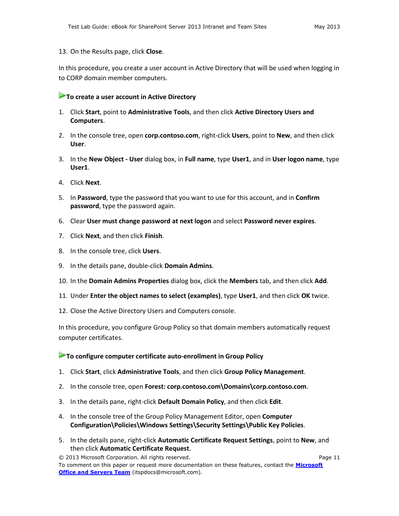#### 13. On the Results page, click **Close**.

In this procedure, you create a user account in Active Directory that will be used when logging in to CORP domain member computers.

#### **To create a user account in Active Directory**

- 1. Click **Start**, point to **Administrative Tools**, and then click **Active Directory Users and Computers**.
- 2. In the console tree, open **corp.contoso.com**, right-click **Users**, point to **New**, and then click **User**.
- 3. In the **New Object - User** dialog box, in **Full name**, type **User1**, and in **User logon name**, type **User1**.
- 4. Click **Next**.
- 5. In **Password**, type the password that you want to use for this account, and in **Confirm password**, type the password again.
- 6. Clear **User must change password at next logon** and select **Password never expires**.
- 7. Click **Next**, and then click **Finish**.
- 8. In the console tree, click **Users**.
- 9. In the details pane, double-click **Domain Admins**.
- 10. In the **Domain Admins Properties** dialog box, click the **Members** tab, and then click **Add**.
- 11. Under **Enter the object names to select (examples)**, type **User1**, and then click **OK** twice.
- 12. Close the Active Directory Users and Computers console.

In this procedure, you configure Group Policy so that domain members automatically request computer certificates.

#### **To configure computer certificate auto-enrollment in Group Policy**

- 1. Click **Start**, click **Administrative Tools**, and then click **Group Policy Management**.
- 2. In the console tree, open **Forest: corp.contoso.com\Domains\corp.contoso.com**.
- 3. In the details pane, right-click **Default Domain Policy**, and then click **Edit**.
- 4. In the console tree of the Group Policy Management Editor, open **Computer Configuration\Policies\Windows Settings\Security Settings\Public Key Policies**.
- 5. In the details pane, right-click **Automatic Certificate Request Settings**, point to **New**, and then click **Automatic Certificate Request**.

© 2013 Microsoft Corporation. All rights reserved. Page 11 To comment on this paper or request more documentation on these features, contact the **[Microsoft](mailto:itspdocs@microsoft.com?subject=Test%20Lab%20Guide%20feedback:)  [Office and Servers Team](mailto:itspdocs@microsoft.com?subject=Test%20Lab%20Guide%20feedback:)** (itspdocs@microsoft.com).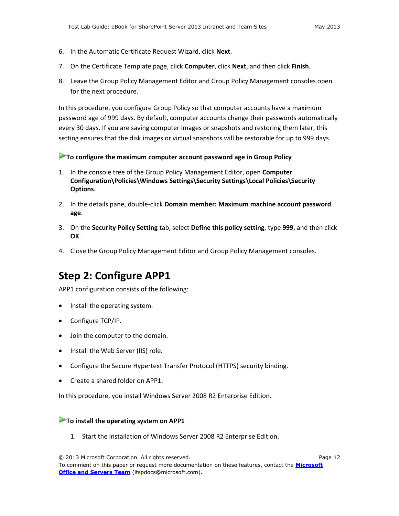- 6. In the Automatic Certificate Request Wizard, click **Next**.
- 7. On the Certificate Template page, click **Computer**, click **Next**, and then click **Finish**.
- 8. Leave the Group Policy Management Editor and Group Policy Management consoles open for the next procedure.

In this procedure, you configure Group Policy so that computer accounts have a maximum password age of 999 days. By default, computer accounts change their passwords automatically every 30 days. If you are saving computer images or snapshots and restoring them later, this setting ensures that the disk images or virtual snapshots will be restorable for up to 999 days.

#### **To configure the maximum computer account password age in Group Policy**

- 1. In the console tree of the Group Policy Management Editor, open **Computer Configuration\Policies\Windows Settings\Security Settings\Local Policies\Security Options**.
- 2. In the details pane, double-click **Domain member: Maximum machine account password age**.
- 3. On the **Security Policy Setting** tab, select **Define this policy setting**, type **999**, and then click **OK**.
- 4. Close the Group Policy Management Editor and Group Policy Management consoles.

## <span id="page-11-0"></span>**Step 2: Configure APP1**

APP1 configuration consists of the following:

- Install the operating system.
- Configure TCP/IP.
- Join the computer to the domain.
- Install the Web Server (IIS) role.
- Configure the Secure Hypertext Transfer Protocol (HTTPS) security binding.
- Create a shared folder on APP1.

In this procedure, you install Windows Server 2008 R2 Enterprise Edition.

#### **To install the operating system on APP1**

1. Start the installation of Windows Server 2008 R2 Enterprise Edition.

© 2013 Microsoft Corporation. All rights reserved. Page 12

To comment on this paper or request more documentation on these features, contact the **[Microsoft](mailto:itspdocs@microsoft.com?subject=Test%20Lab%20Guide%20feedback:)  [Office and Servers Team](mailto:itspdocs@microsoft.com?subject=Test%20Lab%20Guide%20feedback:)** (itspdocs@microsoft.com).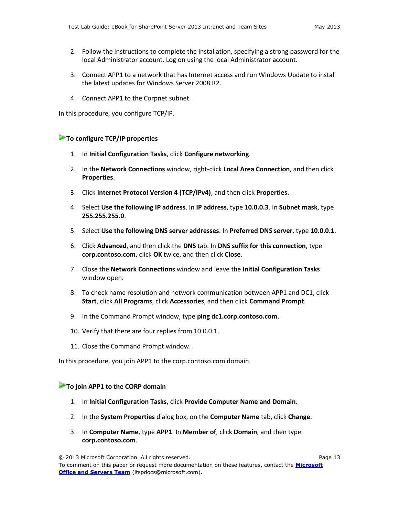- 2. Follow the instructions to complete the installation, specifying a strong password for the local Administrator account. Log on using the local Administrator account.
- 3. Connect APP1 to a network that has Internet access and run Windows Update to install the latest updates for Windows Server 2008 R2.
- 4. Connect APP1 to the Corpnet subnet.

In this procedure, you configure TCP/IP.

#### **To configure TCP/IP properties**

- 1. In **Initial Configuration Tasks**, click **Configure networking**.
- 2. In the **Network Connections** window, right-click **Local Area Connection**, and then click **Properties**.
- 3. Click **Internet Protocol Version 4 (TCP/IPv4)**, and then click **Properties**.
- 4. Select **Use the following IP address**. In **IP address**, type **10.0.0.3**. In **Subnet mask**, type **255.255.255.0**.
- 5. Select **Use the following DNS server addresses**. In **Preferred DNS server**, type **10.0.0.1**.
- 6. Click **Advanced**, and then click the **DNS** tab. In **DNS suffix for this connection**, type **corp.contoso.com**, click **OK** twice, and then click **Close**.
- 7. Close the **Network Connections** window and leave the **Initial Configuration Tasks** window open.
- 8. To check name resolution and network communication between APP1 and DC1, click **Start**, click **All Programs**, click **Accessories**, and then click **Command Prompt**.
- 9. In the Command Prompt window, type **ping dc1.corp.contoso.com**.
- 10. Verify that there are four replies from 10.0.0.1.
- 11. Close the Command Prompt window.

In this procedure, you join APP1 to the corp.contoso.com domain.

#### **To join APP1 to the CORP domain**

- 1. In **Initial Configuration Tasks**, click **Provide Computer Name and Domain**.
- 2. In the **System Properties** dialog box, on the **Computer Name** tab, click **Change**.
- 3. In **Computer Name**, type **APP1**. In **Member of**, click **Domain**, and then type **corp.contoso.com**.

© 2013 Microsoft Corporation. All rights reserved. Page 13 To comment on this paper or request more documentation on these features, contact the **[Microsoft](mailto:itspdocs@microsoft.com?subject=Test%20Lab%20Guide%20feedback:)  [Office and Servers Team](mailto:itspdocs@microsoft.com?subject=Test%20Lab%20Guide%20feedback:)** (itspdocs@microsoft.com).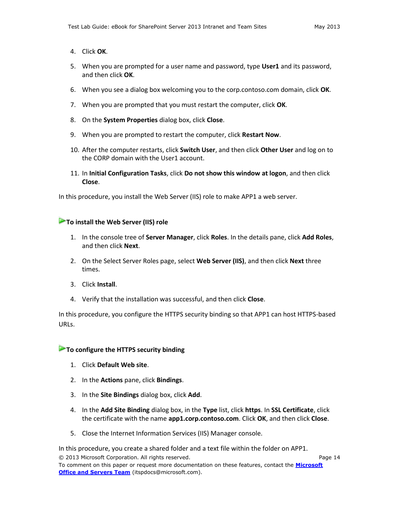- 4. Click **OK**.
- 5. When you are prompted for a user name and password, type **User1** and its password, and then click **OK**.
- 6. When you see a dialog box welcoming you to the corp.contoso.com domain, click **OK**.
- 7. When you are prompted that you must restart the computer, click **OK**.
- 8. On the **System Properties** dialog box, click **Close**.
- 9. When you are prompted to restart the computer, click **Restart Now**.
- 10. After the computer restarts, click **Switch User**, and then click **Other User** and log on to the CORP domain with the User1 account.
- 11. In **Initial Configuration Tasks**, click **Do not show this window at logon**, and then click **Close**.

In this procedure, you install the Web Server (IIS) role to make APP1 a web server.

#### **To install the Web Server (IIS) role**

- 1. In the console tree of **Server Manager**, click **Roles**. In the details pane, click **Add Roles**, and then click **Next**.
- 2. On the Select Server Roles page, select **Web Server (IIS)**, and then click **Next** three times.
- 3. Click **Install**.
- 4. Verify that the installation was successful, and then click **Close**.

In this procedure, you configure the HTTPS security binding so that APP1 can host HTTPS-based URLs.

#### **To configure the HTTPS security binding**

- 1. Click **Default Web site**.
- 2. In the **Actions** pane, click **Bindings**.
- 3. In the **Site Bindings** dialog box, click **Add**.
- 4. In the **Add Site Binding** dialog box, in the **Type** list, click **https**. In **SSL Certificate**, click the certificate with the name **app1.corp.contoso.com**. Click **OK**, and then click **Close**.
- 5. Close the Internet Information Services (IIS) Manager console.

© 2013 Microsoft Corporation. All rights reserved. Page 14 To comment on this paper or request more documentation on these features, contact the **[Microsoft](mailto:itspdocs@microsoft.com?subject=Test%20Lab%20Guide%20feedback:)  [Office and Servers Team](mailto:itspdocs@microsoft.com?subject=Test%20Lab%20Guide%20feedback:)** (itspdocs@microsoft.com). In this procedure, you create a shared folder and a text file within the folder on APP1.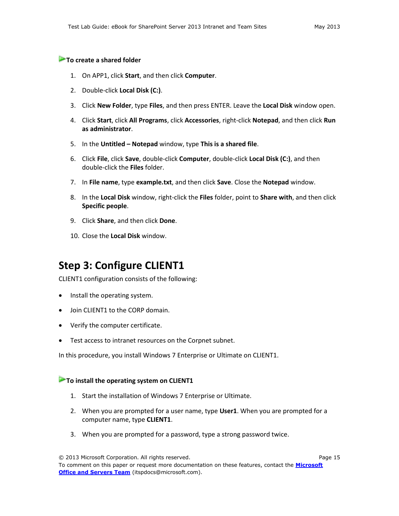#### **To create a shared folder**

- 1. On APP1, click **Start**, and then click **Computer**.
- 2. Double-click **Local Disk (C:)**.
- 3. Click **New Folder**, type **Files**, and then press ENTER. Leave the **Local Disk** window open.
- 4. Click **Start**, click **All Programs**, click **Accessories**, right-click **Notepad**, and then click **Run as administrator**.
- 5. In the **Untitled – Notepad** window, type **This is a shared file**.
- 6. Click **File**, click **Save**, double-click **Computer**, double-click **Local Disk (C:)**, and then double-click the **Files** folder.
- 7. In **File name**, type **example.txt**, and then click **Save**. Close the **Notepad** window.
- 8. In the **Local Disk** window, right-click the **Files** folder, point to **Share with**, and then click **Specific people**.
- 9. Click **Share**, and then click **Done**.
- 10. Close the **Local Disk** window.

## <span id="page-14-0"></span>**Step 3: Configure CLIENT1**

CLIENT1 configuration consists of the following:

- Install the operating system.
- Join CLIENT1 to the CORP domain.
- Verify the computer certificate.
- Test access to intranet resources on the Corpnet subnet.

In this procedure, you install Windows 7 Enterprise or Ultimate on CLIENT1.

#### **To install the operating system on CLIENT1**

- 1. Start the installation of Windows 7 Enterprise or Ultimate.
- 2. When you are prompted for a user name, type **User1**. When you are prompted for a computer name, type **CLIENT1**.
- 3. When you are prompted for a password, type a strong password twice.

© 2013 Microsoft Corporation. All rights reserved. Page 15 To comment on this paper or request more documentation on these features, contact the **[Microsoft](mailto:itspdocs@microsoft.com?subject=Test%20Lab%20Guide%20feedback:)  [Office and Servers Team](mailto:itspdocs@microsoft.com?subject=Test%20Lab%20Guide%20feedback:)** (itspdocs@microsoft.com).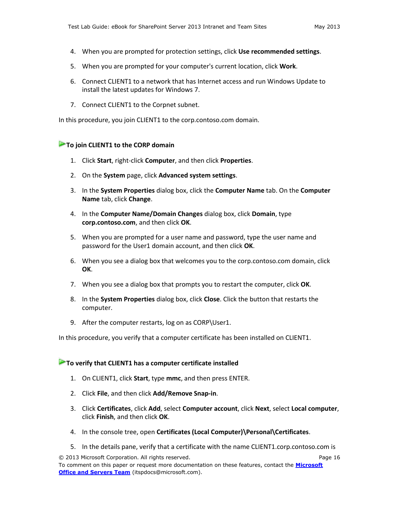- 4. When you are prompted for protection settings, click **Use recommended settings**.
- 5. When you are prompted for your computer's current location, click **Work**.
- 6. Connect CLIENT1 to a network that has Internet access and run Windows Update to install the latest updates for Windows 7.
- 7. Connect CLIENT1 to the Corpnet subnet.

In this procedure, you join CLIENT1 to the corp.contoso.com domain.

#### **To join CLIENT1 to the CORP domain**

- 1. Click **Start**, right-click **Computer**, and then click **Properties**.
- 2. On the **System** page, click **Advanced system settings**.
- 3. In the **System Properties** dialog box, click the **Computer Name** tab. On the **Computer Name** tab, click **Change**.
- 4. In the **Computer Name/Domain Changes** dialog box, click **Domain**, type **corp.contoso.com**, and then click **OK**.
- 5. When you are prompted for a user name and password, type the user name and password for the User1 domain account, and then click **OK**.
- 6. When you see a dialog box that welcomes you to the corp.contoso.com domain, click **OK**.
- 7. When you see a dialog box that prompts you to restart the computer, click **OK**.
- 8. In the **System Properties** dialog box, click **Close**. Click the button that restarts the computer.
- 9. After the computer restarts, log on as CORP\User1.

In this procedure, you verify that a computer certificate has been installed on CLIENT1.

#### **To verify that CLIENT1 has a computer certificate installed**

- 1. On CLIENT1, click **Start**, type **mmc**, and then press ENTER.
- 2. Click **File**, and then click **Add/Remove Snap-in**.
- 3. Click **Certificates**, click **Add**, select **Computer account**, click **Next**, select **Local computer**, click **Finish**, and then click **OK**.
- 4. In the console tree, open **Certificates (Local Computer)\Personal\Certificates**.
- 5. In the details pane, verify that a certificate with the name CLIENT1.corp.contoso.com is

© 2013 Microsoft Corporation. All rights reserved. Page 16 To comment on this paper or request more documentation on these features, contact the **[Microsoft](mailto:itspdocs@microsoft.com?subject=Test%20Lab%20Guide%20feedback:)  [Office and Servers Team](mailto:itspdocs@microsoft.com?subject=Test%20Lab%20Guide%20feedback:)** (itspdocs@microsoft.com).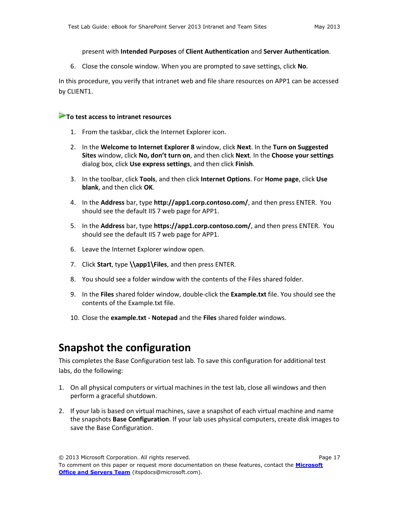#### present with **Intended Purposes** of **Client Authentication** and **Server Authentication**.

6. Close the console window. When you are prompted to save settings, click **No**.

In this procedure, you verify that intranet web and file share resources on APP1 can be accessed by CLIENT1.

#### **To test access to intranet resources**

- 1. From the taskbar, click the Internet Explorer icon.
- 2. In the **Welcome to Internet Explorer 8** window, click **Next**. In the **Turn on Suggested Sites** window, click **No, don't turn on**, and then click **Next**. In the **Choose your settings** dialog box, click **Use express settings**, and then click **Finish**.
- 3. In the toolbar, click **Tools**, and then click **Internet Options**. For **Home page**, click **Use blank**, and then click **OK**.
- 4. In the **Address** bar, type **http://app1.corp.contoso.com/**, and then press ENTER. You should see the default IIS 7 web page for APP1.
- 5. In the **Address** bar, type **https://app1.corp.contoso.com/**, and then press ENTER. You should see the default IIS 7 web page for APP1.
- 6. Leave the Internet Explorer window open.
- 7. Click **Start**, type **\\app1\Files**, and then press ENTER.
- 8. You should see a folder window with the contents of the Files shared folder.
- 9. In the **Files** shared folder window, double-click the **Example.txt** file. You should see the contents of the Example.txt file.
- 10. Close the **example.txt - Notepad** and the **Files** shared folder windows.

## <span id="page-16-0"></span>**Snapshot the configuration**

This completes the Base Configuration test lab. To save this configuration for additional test labs, do the following:

- 1. On all physical computers or virtual machines in the test lab, close all windows and then perform a graceful shutdown.
- 2. If your lab is based on virtual machines, save a snapshot of each virtual machine and name the snapshots **Base Configuration**. If your lab uses physical computers, create disk images to save the Base Configuration.

© 2013 Microsoft Corporation. All rights reserved. Page 17 To comment on this paper or request more documentation on these features, contact the **[Microsoft](mailto:itspdocs@microsoft.com?subject=Test%20Lab%20Guide%20feedback:)  [Office and Servers Team](mailto:itspdocs@microsoft.com?subject=Test%20Lab%20Guide%20feedback:)** (itspdocs@microsoft.com).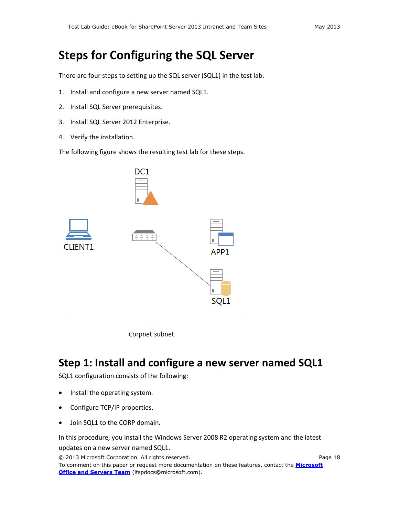## <span id="page-17-0"></span>**Steps for Configuring the SQL Server**

There are four steps to setting up the SQL server (SQL1) in the test lab.

- 1. Install and configure a new server named SQL1.
- 2. Install SQL Server prerequisites.
- 3. Install SQL Server 2012 Enterprise.
- 4. Verify the installation.

The following figure shows the resulting test lab for these steps.



## <span id="page-17-1"></span>**Step 1: Install and configure a new server named SQL1**

SQL1 configuration consists of the following:

- Install the operating system.
- Configure TCP/IP properties.
- Join SQL1 to the CORP domain.

In this procedure, you install the Windows Server 2008 R2 operating system and the latest updates on a new server named SQL1.

© 2013 Microsoft Corporation. All rights reserved. Page 18 To comment on this paper or request more documentation on these features, contact the **[Microsoft](mailto:itspdocs@microsoft.com?subject=Test%20Lab%20Guide%20feedback:)  [Office and Servers Team](mailto:itspdocs@microsoft.com?subject=Test%20Lab%20Guide%20feedback:)** (itspdocs@microsoft.com).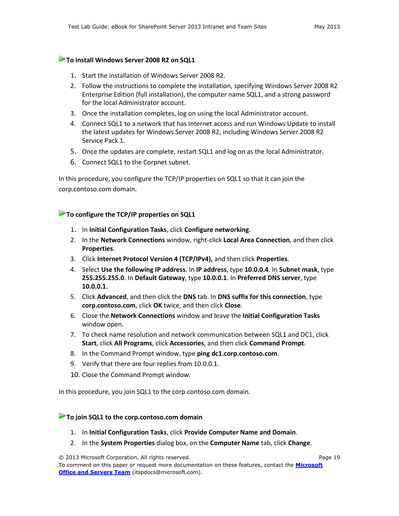#### **To install Windows Server 2008 R2 on SQL1**

- 1. Start the installation of Windows Server 2008 R2.
- 2. Follow the instructions to complete the installation, specifying Windows Server 2008 R2 Enterprise Edition (full installation), the computer name SQL1, and a strong password for the local Administrator account.
- 3. Once the installation completes, log on using the local Administrator account.
- 4. Connect SQL1 to a network that has Internet access and run Windows Update to install the latest updates for Windows Server 2008 R2, including Windows Server 2008 R2 Service Pack 1.
- 5. Once the updates are complete, restart SQL1 and log on as the local Administrator.
- 6. Connect SQL1 to the Corpnet subnet.

In this procedure, you configure the TCP/IP properties on SQL1 so that it can join the corp.contoso.com domain.

#### **To configure the TCP/IP properties on SQL1**

- 1. In **Initial Configuration Tasks**, click **Configure networking**.
- 2. In the **Network Connections** window, right-click **Local Area Connection**, and then click **Properties**.
- 3. Click **Internet Protocol Version 4 (TCP/IPv4),** and then click **Properties**.
- 4. Select **Use the following IP address**. In **IP address**, type **10.0.0.4**. In **Subnet mask**, type **255.255.255.0**. In **Default Gateway**, type **10.0.0.1**. In **Preferred DNS server**, type **10.0.0.1**.
- 5. Click **Advanced**, and then click the **DNS** tab. In **DNS suffix for this connection**, type **corp.contoso.com**, click **OK** twice, and then click **Close**.
- 6. Close the **Network Connections** window and leave the **Initial Configuration Tasks** window open.
- 7. To check name resolution and network communication between SQL1 and DC1, click **Start**, click **All Programs**, click **Accessories**, and then click **Command Prompt**.
- 8. In the Command Prompt window, type **ping dc1.corp.contoso.com**.
- 9. Verify that there are four replies from 10.0.0.1.
- 10. Close the Command Prompt window.

In this procedure, you join SQL1 to the corp.contoso.com domain.

#### **To join SQL1 to the corp.contoso.com domain**

- 1. In **Initial Configuration Tasks**, click **Provide Computer Name and Domain**.
- 2. In the **System Properties** dialog box, on the **Computer Name** tab, click **Change**.

© 2013 Microsoft Corporation. All rights reserved. Page 19

To comment on this paper or request more documentation on these features, contact the **[Microsoft](mailto:itspdocs@microsoft.com?subject=Test%20Lab%20Guide%20feedback:)  [Office and Servers Team](mailto:itspdocs@microsoft.com?subject=Test%20Lab%20Guide%20feedback:)** (itspdocs@microsoft.com).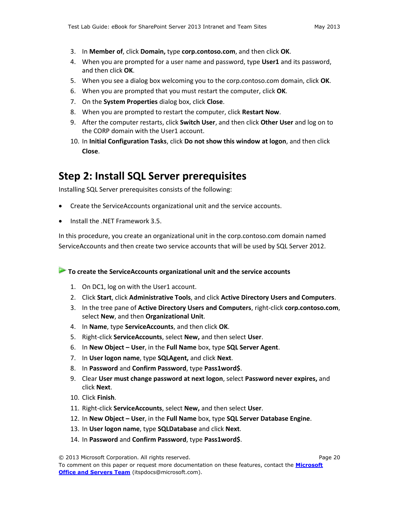- 3. In **Member of**, click **Domain,** type **corp.contoso.com**, and then click **OK**.
- 4. When you are prompted for a user name and password, type **User1** and its password, and then click **OK**.
- 5. When you see a dialog box welcoming you to the corp.contoso.com domain, click **OK**.
- 6. When you are prompted that you must restart the computer, click **OK**.
- 7. On the **System Properties** dialog box, click **Close**.
- 8. When you are prompted to restart the computer, click **Restart Now**.
- 9. After the computer restarts, click **Switch User**, and then click **Other User** and log on to the CORP domain with the User1 account.
- 10. In **Initial Configuration Tasks**, click **Do not show this window at logon**, and then click **Close**.

## <span id="page-19-0"></span>**Step 2: Install SQL Server prerequisites**

Installing SQL Server prerequisites consists of the following:

- Create the ServiceAccounts organizational unit and the service accounts.
- Install the .NET Framework 3.5.

In this procedure, you create an organizational unit in the corp.contoso.com domain named ServiceAccounts and then create two service accounts that will be used by SQL Server 2012.

**To create the ServiceAccounts organizational unit and the service accounts**

- 1. On DC1, log on with the User1 account.
- 2. Click **Start**, click **Administrative Tools**, and click **Active Directory Users and Computers**.
- 3. In the tree pane of **Active Directory Users and Computers**, right-click **corp.contoso.com**, select **New**, and then **Organizational Unit**.
- 4. In **Name**, type **ServiceAccounts**, and then click **OK**.
- 5. Right-click **ServiceAccounts**, select **New,** and then select **User**.
- 6. In **New Object – User**, in the **Full Name** box, type **SQL Server Agent**.
- 7. In **User logon name**, type **SQLAgent,** and click **Next**.
- 8. In **Password** and **Confirm Password**, type **Pass1word\$**.
- 9. Clear **User must change password at next logon**, select **Password never expires,** and click **Next**.
- 10. Click **Finish**.
- 11. Right-click **ServiceAccounts**, select **New,** and then select **User**.
- 12. In **New Object – User**, in the **Full Name** box, type **SQL Server Database Engine**.
- 13. In **User logon name**, type **SQLDatabase** and click **Next**.
- 14. In **Password** and **Confirm Password**, type **Pass1word\$**.

<sup>© 2013</sup> Microsoft Corporation. All rights reserved. Page 20

To comment on this paper or request more documentation on these features, contact the **[Microsoft](mailto:itspdocs@microsoft.com?subject=Test%20Lab%20Guide%20feedback:)  [Office and Servers Team](mailto:itspdocs@microsoft.com?subject=Test%20Lab%20Guide%20feedback:)** (itspdocs@microsoft.com).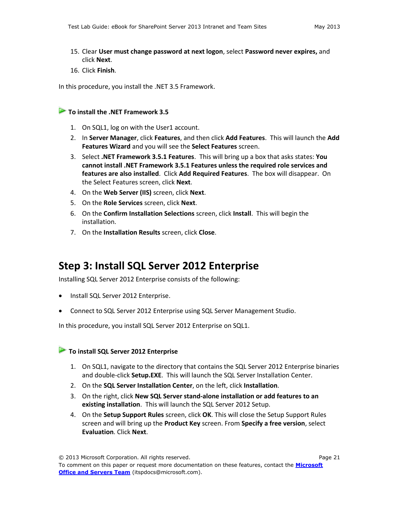- 15. Clear **User must change password at next logon**, select **Password never expires,** and click **Next**.
- 16. Click **Finish**.

In this procedure, you install the .NET 3.5 Framework.

#### **To install the .NET Framework 3.5**

- 1. On SQL1, log on with the User1 account.
- 2. In **Server Manager**, click **Features**, and then click **Add Features**. This will launch the **Add Features Wizard** and you will see the **Select Features** screen.
- 3. Select **.NET Framework 3.5.1 Features**. This will bring up a box that asks states: **You cannot install .NET Framework 3.5.1 Features unless the required role services and features are also installed**. Click **Add Required Features**. The box will disappear. On the Select Features screen, click **Next**.
- 4. On the **Web Server (IIS)** screen, click **Next**.
- 5. On the **Role Services** screen, click **Next**.
- 6. On the **Confirm Installation Selections** screen, click **Install**. This will begin the installation.
- 7. On the **Installation Results** screen, click **Close**.

## <span id="page-20-0"></span>**Step 3: Install SQL Server 2012 Enterprise**

Installing SQL Server 2012 Enterprise consists of the following:

- Install SQL Server 2012 Enterprise.
- Connect to SQL Server 2012 Enterprise using SQL Server Management Studio.

In this procedure, you install SQL Server 2012 Enterprise on SQL1.

#### **To install SQL Server 2012 Enterprise**

- 1. On SQL1, navigate to the directory that contains the SQL Server 2012 Enterprise binaries and double-click **Setup.EXE**. This will launch the SQL Server Installation Center.
- 2. On the **SQL Server Installation Center**, on the left, click **Installation**.
- 3. On the right, click **New SQL Server stand-alone installation or add features to an existing installation**. This will launch the SQL Server 2012 Setup.
- 4. On the **Setup Support Rules** screen, click **OK**. This will close the Setup Support Rules screen and will bring up the **Product Key** screen. From **Specify a free version**, select **Evaluation**. Click **Next**.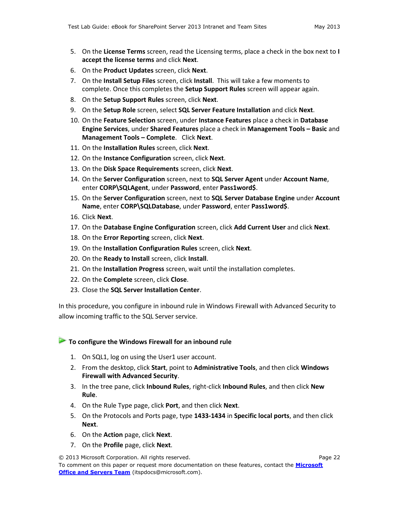- 5. On the **License Terms** screen, read the Licensing terms, place a check in the box next to **I accept the license terms** and click **Next**.
- 6. On the **Product Updates** screen, click **Next**.
- 7. On the **Install Setup Files** screen, click **Install**. This will take a few moments to complete. Once this completes the **Setup Support Rules** screen will appear again.
- 8. On the **Setup Support Rules** screen, click **Next**.
- 9. On the **Setup Role** screen, select **SQL Server Feature Installation** and click **Next**.
- 10. On the **Feature Selection** screen, under **Instance Features** place a check in **Database Engine Services**, under **Shared Features** place a check in **Management Tools – Basic** and **Management Tools – Complete**. Click **Next**.
- 11. On the **Installation Rules** screen, click **Next**.
- 12. On the **Instance Configuration** screen, click **Next**.
- 13. On the **Disk Space Requirements** screen, click **Next**.
- 14. On the **Server Configuration** screen, next to **SQL Server Agent** under **Account Name**, enter **CORP\SQLAgent**, under **Password**, enter **Pass1word\$**.
- 15. On the **Server Configuration** screen, next to **SQL Server Database Engine** under **Account Name**, enter **CORP\SQLDatabase**, under **Password**, enter **Pass1word\$**.
- 16. Click **Next**.
- 17. On the **Database Engine Configuration** screen, click **Add Current User** and click **Next**.
- 18. On the **Error Reporting** screen, click **Next**.
- 19. On the **Installation Configuration Rules** screen, click **Next**.
- 20. On the **Ready to Install** screen, click **Install**.
- 21. On the **Installation Progress** screen, wait until the installation completes.
- 22. On the **Complete** screen, click **Close**.
- 23. Close the **SQL Server Installation Center**.

In this procedure, you configure in inbound rule in Windows Firewall with Advanced Security to allow incoming traffic to the SQL Server service.

#### **To configure the Windows Firewall for an inbound rule**

- 1. On SQL1, log on using the User1 user account.
- 2. From the desktop, click **Start**, point to **Administrative Tools**, and then click **Windows Firewall with Advanced Security**.
- 3. In the tree pane, click **Inbound Rules**, right-click **Inbound Rules**, and then click **New Rule**.
- 4. On the Rule Type page, click **Port**, and then click **Next**.
- 5. On the Protocols and Ports page, type **1433-1434** in **Specific local ports**, and then click **Next**.
- 6. On the **Action** page, click **Next**.
- 7. On the **Profile** page, click **Next**.

© 2013 Microsoft Corporation. All rights reserved. Page 22 To comment on this paper or request more documentation on these features, contact the **[Microsoft](mailto:itspdocs@microsoft.com?subject=Test%20Lab%20Guide%20feedback:)  [Office and Servers Team](mailto:itspdocs@microsoft.com?subject=Test%20Lab%20Guide%20feedback:)** (itspdocs@microsoft.com).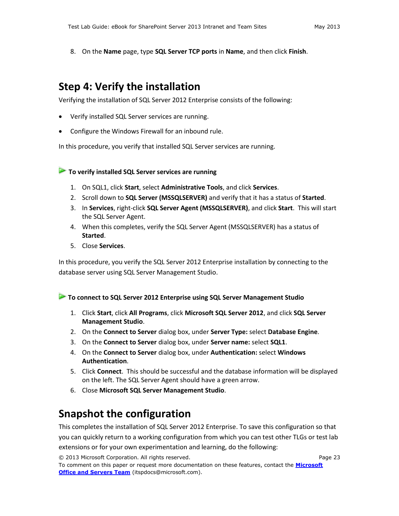8. On the **Name** page, type **SQL Server TCP ports** in **Name**, and then click **Finish**.

## <span id="page-22-0"></span>**Step 4: Verify the installation**

Verifying the installation of SQL Server 2012 Enterprise consists of the following:

- Verify installed SQL Server services are running.
- Configure the Windows Firewall for an inbound rule.

In this procedure, you verify that installed SQL Server services are running.

**To verify installed SQL Server services are running**

- 1. On SQL1, click **Start**, select **Administrative Tools**, and click **Services**.
- 2. Scroll down to **SQL Server (MSSQLSERVER)** and verify that it has a status of **Started**.
- 3. In **Services**, right-click **SQL Server Agent (MSSQLSERVER)**, and click **Start**. This will start the SQL Server Agent.
- 4. When this completes, verify the SQL Server Agent (MSSQLSERVER) has a status of **Started**.
- 5. Close **Services**.

In this procedure, you verify the SQL Server 2012 Enterprise installation by connecting to the database server using SQL Server Management Studio.

#### **To connect to SQL Server 2012 Enterprise using SQL Server Management Studio**

- 1. Click **Start**, click **All Programs**, click **Microsoft SQL Server 2012**, and click **SQL Server Management Studio**.
- 2. On the **Connect to Server** dialog box, under **Server Type:** select **Database Engine**.
- 3. On the **Connect to Server** dialog box, under **Server name:** select **SQL1**.
- 4. On the **Connect to Server** dialog box, under **Authentication:** select **Windows Authentication**.
- 5. Click **Connect**. This should be successful and the database information will be displayed on the left. The SQL Server Agent should have a green arrow.
- 6. Close **Microsoft SQL Server Management Studio**.

## <span id="page-22-1"></span>**Snapshot the configuration**

This completes the installation of SQL Server 2012 Enterprise. To save this configuration so that you can quickly return to a working configuration from which you can test other TLGs or test lab extensions or for your own experimentation and learning, do the following:

© 2013 Microsoft Corporation. All rights reserved. Page 23

To comment on this paper or request more documentation on these features, contact the **[Microsoft](mailto:itspdocs@microsoft.com?subject=Test%20Lab%20Guide%20feedback:)  [Office and Servers Team](mailto:itspdocs@microsoft.com?subject=Test%20Lab%20Guide%20feedback:)** (itspdocs@microsoft.com).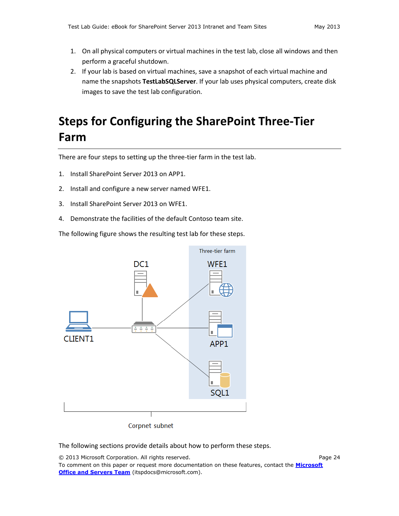- 1. On all physical computers or virtual machines in the test lab, close all windows and then perform a graceful shutdown.
- 2. If your lab is based on virtual machines, save a snapshot of each virtual machine and name the snapshots **TestLabSQLServer**. If your lab uses physical computers, create disk images to save the test lab configuration.

# <span id="page-23-0"></span>**Steps for Configuring the SharePoint Three-Tier Farm**

There are four steps to setting up the three-tier farm in the test lab.

- 1. Install SharePoint Server 2013 on APP1.
- 2. Install and configure a new server named WFE1.
- 3. Install SharePoint Server 2013 on WFE1.
- 4. Demonstrate the facilities of the default Contoso team site.

The following figure shows the resulting test lab for these steps.



The following sections provide details about how to perform these steps.

© 2013 Microsoft Corporation. All rights reserved. Page 24 To comment on this paper or request more documentation on these features, contact the **[Microsoft](mailto:itspdocs@microsoft.com?subject=Test%20Lab%20Guide%20feedback:)  [Office and Servers Team](mailto:itspdocs@microsoft.com?subject=Test%20Lab%20Guide%20feedback:)** (itspdocs@microsoft.com).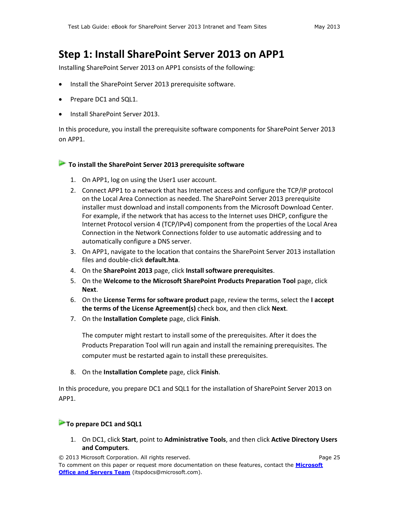## <span id="page-24-0"></span>**Step 1: Install SharePoint Server 2013 on APP1**

Installing SharePoint Server 2013 on APP1 consists of the following:

- Install the SharePoint Server 2013 prerequisite software.
- Prepare DC1 and SQL1.
- Install SharePoint Server 2013.

In this procedure, you install the prerequisite software components for SharePoint Server 2013 on APP1.

#### **To install the SharePoint Server 2013 prerequisite software**

- 1. On APP1, log on using the User1 user account.
- 2. Connect APP1 to a network that has Internet access and configure the TCP/IP protocol on the Local Area Connection as needed. The SharePoint Server 2013 prerequisite installer must download and install components from the Microsoft Download Center. For example, if the network that has access to the Internet uses DHCP, configure the Internet Protocol version 4 (TCP/IPv4) component from the properties of the Local Area Connection in the Network Connections folder to use automatic addressing and to automatically configure a DNS server.
- 3. On APP1, navigate to the location that contains the SharePoint Server 2013 installation files and double-click **default.hta**.
- 4. On the **SharePoint 2013** page, click **Install software prerequisites**.
- 5. On the **Welcome to the Microsoft SharePoint Products Preparation Tool** page, click **Next**.
- 6. On the **License Terms for software product** page, review the terms, select the **I accept the terms of the License Agreement(s)** check box, and then click **Next**.
- 7. On the **Installation Complete** page, click **Finish**.

The computer might restart to install some of the prerequisites. After it does the Products Preparation Tool will run again and install the remaining prerequisites. The computer must be restarted again to install these prerequisites.

8. On the **Installation Complete** page, click **Finish**.

In this procedure, you prepare DC1 and SQL1 for the installation of SharePoint Server 2013 on APP1.

#### **► To prepare DC1 and SQL1**

1. On DC1, click **Start**, point to **Administrative Tools**, and then click **Active Directory Users and Computers**.

© 2013 Microsoft Corporation. All rights reserved. Page 25 To comment on this paper or request more documentation on these features, contact the **[Microsoft](mailto:itspdocs@microsoft.com?subject=Test%20Lab%20Guide%20feedback:)  [Office and Servers Team](mailto:itspdocs@microsoft.com?subject=Test%20Lab%20Guide%20feedback:)** (itspdocs@microsoft.com).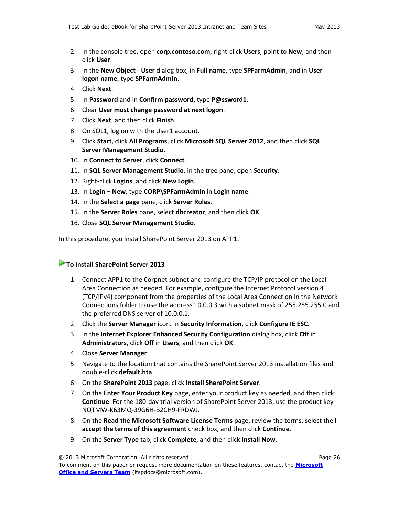- 2. In the console tree, open **corp.contoso.com**, right-click **Users**, point to **New**, and then click **User**.
- 3. In the **New Object - User** dialog box, in **Full name**, type **SPFarmAdmin**, and in **User logon name**, type **SPFarmAdmin**.
- 4. Click **Next**.
- 5. In **Password** and in **Confirm password,** type **P@ssword1**.
- 6. Clear **User must change password at next logon**.
- 7. Click **Next**, and then click **Finish**.
- 8. On SQL1, log on with the User1 account.
- 9. Click **Start**, click **All Programs**, click **Microsoft SQL Server 2012**, and then click **SQL Server Management Studio**.
- 10. In **Connect to Server**, click **Connect**.
- 11. In **SQL Server Management Studio**, in the tree pane, open **Security**.
- 12. Right-click **Logins**, and click **New Login**.
- 13. In **Login – New**, type **CORP\SPFarmAdmin** in **Login name**.
- 14. In the **Select a page** pane, click **Server Roles**.
- 15. In the **Server Roles** pane, select **dbcreator**, and then click **OK**.
- 16. Close **SQL Server Management Studio**.

In this procedure, you install SharePoint Server 2013 on APP1.

#### **To install SharePoint Server 2013**

- 1. Connect APP1 to the Corpnet subnet and configure the TCP/IP protocol on the Local Area Connection as needed. For example, configure the Internet Protocol version 4 (TCP/IPv4) component from the properties of the Local Area Connection in the Network Connections folder to use the address 10.0.0.3 with a subnet mask of 255.255.255.0 and the preferred DNS server of 10.0.0.1.
- 2. Click the **Server Manager** icon. In **Security Information**, click **Configure IE ESC**.
- 3. In the **Internet Explorer Enhanced Security Configuration** dialog box, click **Off** in **Administrators**, click **Off** in **Users**, and then click **OK**.
- 4. Close **Server Manager**.
- 5. Navigate to the location that contains the SharePoint Server 2013 installation files and double-click **default.hta**.
- 6. On the **SharePoint 2013** page, click **Install SharePoint Server**.
- 7. On the **Enter Your Product Key** page, enter your product key as needed, and then click **Continue**. For the 180-day trial version of SharePoint Server 2013, use the product key NQTMW-K63MQ-39G6H-B2CH9-FRDWJ.
- 8. On the **Read the Microsoft Software License Terms** page, review the terms, select the **I accept the terms of this agreement** check box, and then click **Continue**.
- 9. On the **Server Type** tab, click **Complete**, and then click **Install Now**.

<sup>© 2013</sup> Microsoft Corporation. All rights reserved. Page 26

To comment on this paper or request more documentation on these features, contact the **[Microsoft](mailto:itspdocs@microsoft.com?subject=Test%20Lab%20Guide%20feedback:)  [Office and Servers Team](mailto:itspdocs@microsoft.com?subject=Test%20Lab%20Guide%20feedback:)** (itspdocs@microsoft.com).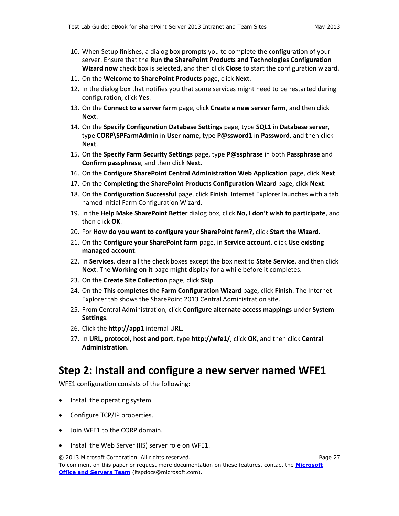- 10. When Setup finishes, a dialog box prompts you to complete the configuration of your server. Ensure that the **Run the SharePoint Products and Technologies Configuration Wizard now** check box is selected, and then click **Close** to start the configuration wizard.
- 11. On the **Welcome to SharePoint Products** page, click **Next**.
- 12. In the dialog box that notifies you that some services might need to be restarted during configuration, click **Yes**.
- 13. On the **Connect to a server farm** page, click **Create a new server farm**, and then click **Next**.
- 14. On the **Specify Configuration Database Settings** page, type **SQL1** in **Database server**, type **CORP\SPFarmAdmin** in **User name**, type **P@ssword1** in **Password**, and then click **Next**.
- 15. On the **Specify Farm Security Settings** page, type **P@ssphrase** in both **Passphrase** and **Confirm passphrase**, and then click **Next**.
- 16. On the **Configure SharePoint Central Administration Web Application** page, click **Next**.
- 17. On the **Completing the SharePoint Products Configuration Wizard** page, click **Next**.
- 18. On the **Configuration Successful** page, click **Finish**. Internet Explorer launches with a tab named Initial Farm Configuration Wizard.
- 19. In the **Help Make SharePoint Better** dialog box, click **No, I don't wish to participate**, and then click **OK**.
- 20. For **How do you want to configure your SharePoint farm?**, click **Start the Wizard**.
- 21. On the **Configure your SharePoint farm** page, in **Service account**, click **Use existing managed account**.
- 22. In **Services**, clear all the check boxes except the box next to **State Service**, and then click **Next**. The **Working on it** page might display for a while before it completes.
- 23. On the **Create Site Collection** page, click **Skip**.
- 24. On the **This completes the Farm Configuration Wizard** page, click **Finish**. The Internet Explorer tab shows the SharePoint 2013 Central Administration site.
- 25. From Central Administration, click **Configure alternate access mappings** under **System Settings**.
- 26. Click the **http://app1** internal URL.
- 27. In **URL, protocol, host and port**, type **http://wfe1/**, click **OK**, and then click **Central Administration**.

## <span id="page-26-0"></span>**Step 2: Install and configure a new server named WFE1**

WFE1 configuration consists of the following:

- Install the operating system.
- Configure TCP/IP properties.
- Join WFE1 to the CORP domain.
- Install the Web Server (IIS) server role on WFE1.

© 2013 Microsoft Corporation. All rights reserved. Page 27 To comment on this paper or request more documentation on these features, contact the **[Microsoft](mailto:itspdocs@microsoft.com?subject=Test%20Lab%20Guide%20feedback:)  [Office and Servers Team](mailto:itspdocs@microsoft.com?subject=Test%20Lab%20Guide%20feedback:)** (itspdocs@microsoft.com).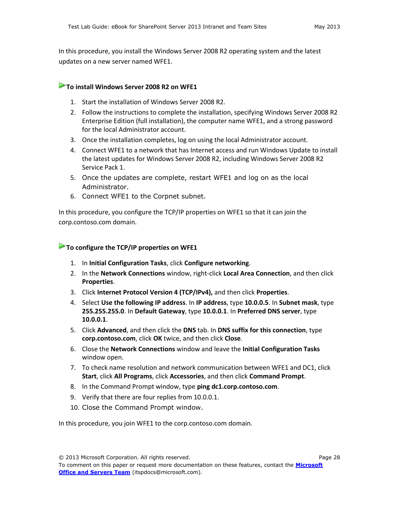In this procedure, you install the Windows Server 2008 R2 operating system and the latest updates on a new server named WFE1.

#### **To install Windows Server 2008 R2 on WFE1**

- 1. Start the installation of Windows Server 2008 R2.
- 2. Follow the instructions to complete the installation, specifying Windows Server 2008 R2 Enterprise Edition (full installation), the computer name WFE1, and a strong password for the local Administrator account.
- 3. Once the installation completes, log on using the local Administrator account.
- 4. Connect WFE1 to a network that has Internet access and run Windows Update to install the latest updates for Windows Server 2008 R2, including Windows Server 2008 R2 Service Pack 1.
- 5. Once the updates are complete, restart WFE1 and log on as the local Administrator.
- 6. Connect WFE1 to the Corpnet subnet.

In this procedure, you configure the TCP/IP properties on WFE1 so that it can join the corp.contoso.com domain.

#### **To configure the TCP/IP properties on WFE1**

- 1. In **Initial Configuration Tasks**, click **Configure networking**.
- 2. In the **Network Connections** window, right-click **Local Area Connection**, and then click **Properties**.
- 3. Click **Internet Protocol Version 4 (TCP/IPv4),** and then click **Properties**.
- 4. Select **Use the following IP address**. In **IP address**, type **10.0.0.5**. In **Subnet mask**, type **255.255.255.0**. In **Default Gateway**, type **10.0.0.1**. In **Preferred DNS server**, type **10.0.0.1**.
- 5. Click **Advanced**, and then click the **DNS** tab. In **DNS suffix for this connection**, type **corp.contoso.com**, click **OK** twice, and then click **Close**.
- 6. Close the **Network Connections** window and leave the **Initial Configuration Tasks** window open.
- 7. To check name resolution and network communication between WFE1 and DC1, click **Start**, click **All Programs**, click **Accessories**, and then click **Command Prompt**.
- 8. In the Command Prompt window, type **ping dc1.corp.contoso.com**.
- 9. Verify that there are four replies from 10.0.0.1.
- 10. Close the Command Prompt window.

In this procedure, you join WFE1 to the corp.contoso.com domain.

<sup>© 2013</sup> Microsoft Corporation. All rights reserved. Page 28

To comment on this paper or request more documentation on these features, contact the **[Microsoft](mailto:itspdocs@microsoft.com?subject=Test%20Lab%20Guide%20feedback:)  [Office and Servers Team](mailto:itspdocs@microsoft.com?subject=Test%20Lab%20Guide%20feedback:)** (itspdocs@microsoft.com).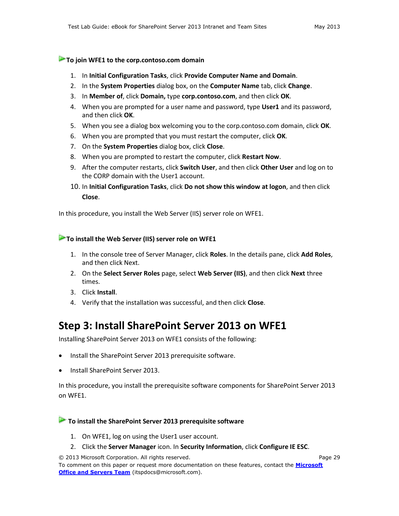#### **To join WFE1 to the corp.contoso.com domain**

- 1. In **Initial Configuration Tasks**, click **Provide Computer Name and Domain**.
- 2. In the **System Properties** dialog box, on the **Computer Name** tab, click **Change**.
- 3. In **Member of**, click **Domain,** type **corp.contoso.com**, and then click **OK**.
- 4. When you are prompted for a user name and password, type **User1** and its password, and then click **OK**.
- 5. When you see a dialog box welcoming you to the corp.contoso.com domain, click **OK**.
- 6. When you are prompted that you must restart the computer, click **OK**.
- 7. On the **System Properties** dialog box, click **Close**.
- 8. When you are prompted to restart the computer, click **Restart Now**.
- 9. After the computer restarts, click **Switch User**, and then click **Other User** and log on to the CORP domain with the User1 account.
- 10. In **Initial Configuration Tasks**, click **Do not show this window at logon**, and then click **Close**.

In this procedure, you install the Web Server (IIS) server role on WFE1.

#### **To install the Web Server (IIS) server role on WFE1**

- 1. In the console tree of Server Manager, click **Roles**. In the details pane, click **Add Roles**, and then click Next.
- 2. On the **Select Server Roles** page, select **Web Server (IIS)**, and then click **Next** three times.
- 3. Click **Install**.
- 4. Verify that the installation was successful, and then click **Close**.

## <span id="page-28-0"></span>**Step 3: Install SharePoint Server 2013 on WFE1**

Installing SharePoint Server 2013 on WFE1 consists of the following:

- Install the SharePoint Server 2013 prerequisite software.
- Install SharePoint Server 2013.

In this procedure, you install the prerequisite software components for SharePoint Server 2013 on WFE1.

#### **To install the SharePoint Server 2013 prerequisite software**

- 1. On WFE1, log on using the User1 user account.
- 2. Click the **Server Manager** icon. In **Security Information**, click **Configure IE ESC**.

© 2013 Microsoft Corporation. All rights reserved. Page 29 To comment on this paper or request more documentation on these features, contact the **[Microsoft](mailto:itspdocs@microsoft.com?subject=Test%20Lab%20Guide%20feedback:)  [Office and Servers Team](mailto:itspdocs@microsoft.com?subject=Test%20Lab%20Guide%20feedback:)** (itspdocs@microsoft.com).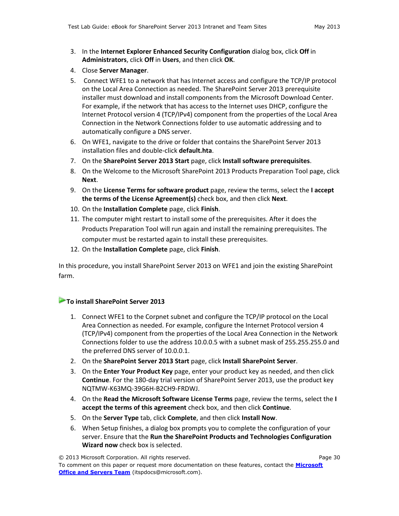- 3. In the **Internet Explorer Enhanced Security Configuration** dialog box, click **Off** in **Administrators**, click **Off** in **Users**, and then click **OK**.
- 4. Close **Server Manager**.
- 5. Connect WFE1 to a network that has Internet access and configure the TCP/IP protocol on the Local Area Connection as needed. The SharePoint Server 2013 prerequisite installer must download and install components from the Microsoft Download Center. For example, if the network that has access to the Internet uses DHCP, configure the Internet Protocol version 4 (TCP/IPv4) component from the properties of the Local Area Connection in the Network Connections folder to use automatic addressing and to automatically configure a DNS server.
- 6. On WFE1, navigate to the drive or folder that contains the SharePoint Server 2013 installation files and double-click **default.hta**.
- 7. On the **SharePoint Server 2013 Start** page, click **Install software prerequisites**.
- 8. On the Welcome to the Microsoft SharePoint 2013 Products Preparation Tool page, click **Next**.
- 9. On the **License Terms for software product** page, review the terms, select the **I accept the terms of the License Agreement(s)** check box, and then click **Next**.
- 10. On the **Installation Complete** page, click **Finish**.
- 11. The computer might restart to install some of the prerequisites. After it does the Products Preparation Tool will run again and install the remaining prerequisites. The computer must be restarted again to install these prerequisites.
- 12. On the **Installation Complete** page, click **Finish**.

In this procedure, you install SharePoint Server 2013 on WFE1 and join the existing SharePoint farm.

#### **To install SharePoint Server 2013**

- 1. Connect WFE1 to the Corpnet subnet and configure the TCP/IP protocol on the Local Area Connection as needed. For example, configure the Internet Protocol version 4 (TCP/IPv4) component from the properties of the Local Area Connection in the Network Connections folder to use the address 10.0.0.5 with a subnet mask of 255.255.255.0 and the preferred DNS server of 10.0.0.1.
- 2. On the **SharePoint Server 2013 Start** page, click **Install SharePoint Server**.
- 3. On the **Enter Your Product Key** page, enter your product key as needed, and then click **Continue**. For the 180-day trial version of SharePoint Server 2013, use the product key NQTMW-K63MQ-39G6H-B2CH9-FRDWJ.
- 4. On the **Read the Microsoft Software License Terms** page, review the terms, select the **I accept the terms of this agreement** check box, and then click **Continue**.
- 5. On the **Server Type** tab, click **Complete**, and then click **Install Now**.
- 6. When Setup finishes, a dialog box prompts you to complete the configuration of your server. Ensure that the **Run the SharePoint Products and Technologies Configuration Wizard now** check box is selected.

© 2013 Microsoft Corporation. All rights reserved. Page 30 To comment on this paper or request more documentation on these features, contact the **[Microsoft](mailto:itspdocs@microsoft.com?subject=Test%20Lab%20Guide%20feedback:)  [Office and Servers Team](mailto:itspdocs@microsoft.com?subject=Test%20Lab%20Guide%20feedback:)** (itspdocs@microsoft.com).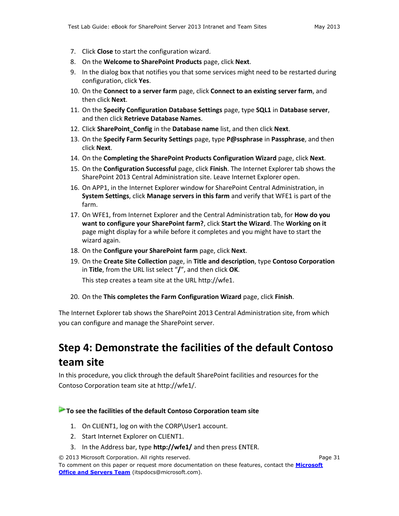- 7. Click **Close** to start the configuration wizard.
- 8. On the **Welcome to SharePoint Products** page, click **Next**.
- 9. In the dialog box that notifies you that some services might need to be restarted during configuration, click **Yes**.
- 10. On the **Connect to a server farm** page, click **Connect to an existing server farm**, and then click **Next**.
- 11. On the **Specify Configuration Database Settings** page, type **SQL1** in **Database server**, and then click **Retrieve Database Names**.
- 12. Click **SharePoint\_Config** in the **Database name** list, and then click **Next**.
- 13. On the **Specify Farm Security Settings** page, type **P@ssphrase** in **Passphrase**, and then click **Next**.
- 14. On the **Completing the SharePoint Products Configuration Wizard** page, click **Next**.
- 15. On the **Configuration Successful** page, click **Finish**. The Internet Explorer tab shows the SharePoint 2013 Central Administration site. Leave Internet Explorer open.
- 16. On APP1, in the Internet Explorer window for SharePoint Central Administration, in **System Settings**, click **Manage servers in this farm** and verify that WFE1 is part of the farm.
- 17. On WFE1, from Internet Explorer and the Central Administration tab, for **How do you want to configure your SharePoint farm?**, click **Start the Wizard**. The **Working on it** page might display for a while before it completes and you might have to start the wizard again.
- 18. On the **Configure your SharePoint farm** page, click **Next**.
- 19. On the **Create Site Collection** page, in **Title and description**, type **Contoso Corporation** in **Title**, from the URL list select "**/**", and then click **OK**. This step creates a team site at the URL http://wfe1.
- 20. On the **This completes the Farm Configuration Wizard** page, click **Finish**.

The Internet Explorer tab shows the SharePoint 2013 Central Administration site, from which you can configure and manage the SharePoint server.

## <span id="page-30-0"></span>**Step 4: Demonstrate the facilities of the default Contoso team site**

In this procedure, you click through the default SharePoint facilities and resources for the Contoso Corporation team site at http://wfe1/.

#### **To see the facilities of the default Contoso Corporation team site**

- 1. On CLIENT1, log on with the CORP\User1 account.
- 2. Start Internet Explorer on CLIENT1.
- 3. In the Address bar, type **http://wfe1/** and then press ENTER.

© 2013 Microsoft Corporation. All rights reserved. Page 31 To comment on this paper or request more documentation on these features, contact the **[Microsoft](mailto:itspdocs@microsoft.com?subject=Test%20Lab%20Guide%20feedback:)  [Office and Servers Team](mailto:itspdocs@microsoft.com?subject=Test%20Lab%20Guide%20feedback:)** (itspdocs@microsoft.com).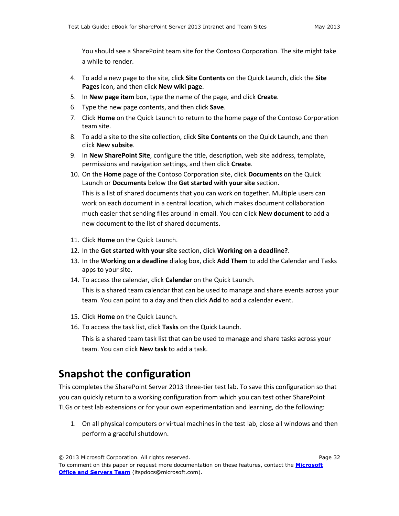You should see a SharePoint team site for the Contoso Corporation. The site might take a while to render.

- 4. To add a new page to the site, click **Site Contents** on the Quick Launch, click the **Site Pages** icon, and then click **New wiki page**.
- 5. In **New page item** box, type the name of the page, and click **Create**.
- 6. Type the new page contents, and then click **Save**.
- 7. Click **Home** on the Quick Launch to return to the home page of the Contoso Corporation team site.
- 8. To add a site to the site collection, click **Site Contents** on the Quick Launch, and then click **New subsite**.
- 9. In **New SharePoint Site**, configure the title, description, web site address, template, permissions and navigation settings, and then click **Create**.
- 10. On the **Home** page of the Contoso Corporation site, click **Documents** on the Quick Launch or **Documents** below the **Get started with your site** section. This is a list of shared documents that you can work on together. Multiple users can work on each document in a central location, which makes document collaboration much easier that sending files around in email. You can click **New document** to add a new document to the list of shared documents.
- 11. Click **Home** on the Quick Launch.
- 12. In the **Get started with your site** section, click **Working on a deadline?**.
- 13. In the **Working on a deadline** dialog box, click **Add Them** to add the Calendar and Tasks apps to your site.
- 14. To access the calendar, click **Calendar** on the Quick Launch. This is a shared team calendar that can be used to manage and share events across your team. You can point to a day and then click **Add** to add a calendar event.
- 15. Click **Home** on the Quick Launch.
- 16. To access the task list, click **Tasks** on the Quick Launch.

This is a shared team task list that can be used to manage and share tasks across your team. You can click **New task** to add a task.

## <span id="page-31-0"></span>**Snapshot the configuration**

This completes the SharePoint Server 2013 three-tier test lab. To save this configuration so that you can quickly return to a working configuration from which you can test other SharePoint TLGs or test lab extensions or for your own experimentation and learning, do the following:

1. On all physical computers or virtual machines in the test lab, close all windows and then perform a graceful shutdown.

© 2013 Microsoft Corporation. All rights reserved. Page 32 To comment on this paper or request more documentation on these features, contact the **[Microsoft](mailto:itspdocs@microsoft.com?subject=Test%20Lab%20Guide%20feedback:)  [Office and Servers Team](mailto:itspdocs@microsoft.com?subject=Test%20Lab%20Guide%20feedback:)** (itspdocs@microsoft.com).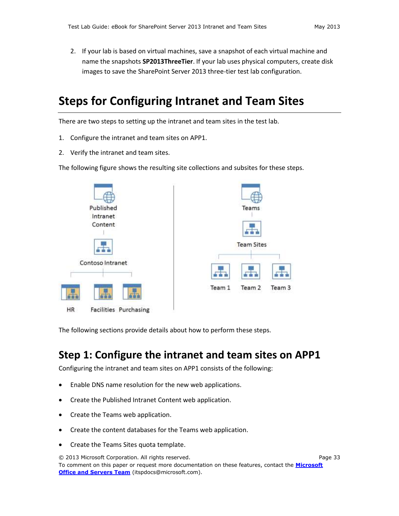2. If your lab is based on virtual machines, save a snapshot of each virtual machine and name the snapshots **SP2013ThreeTier**. If your lab uses physical computers, create disk images to save the SharePoint Server 2013 three-tier test lab configuration.

## <span id="page-32-0"></span>**Steps for Configuring Intranet and Team Sites**

There are two steps to setting up the intranet and team sites in the test lab.

- 1. Configure the intranet and team sites on APP1.
- 2. Verify the intranet and team sites.

The following figure shows the resulting site collections and subsites for these steps.



The following sections provide details about how to perform these steps.

## <span id="page-32-1"></span>**Step 1: Configure the intranet and team sites on APP1**

Configuring the intranet and team sites on APP1 consists of the following:

- Enable DNS name resolution for the new web applications.
- Create the Published Intranet Content web application.
- Create the Teams web application.
- Create the content databases for the Teams web application.
- Create the Teams Sites quota template.

© 2013 Microsoft Corporation. All rights reserved. Page 33 To comment on this paper or request more documentation on these features, contact the **[Microsoft](mailto:itspdocs@microsoft.com?subject=Test%20Lab%20Guide%20feedback:)  [Office and Servers Team](mailto:itspdocs@microsoft.com?subject=Test%20Lab%20Guide%20feedback:)** (itspdocs@microsoft.com).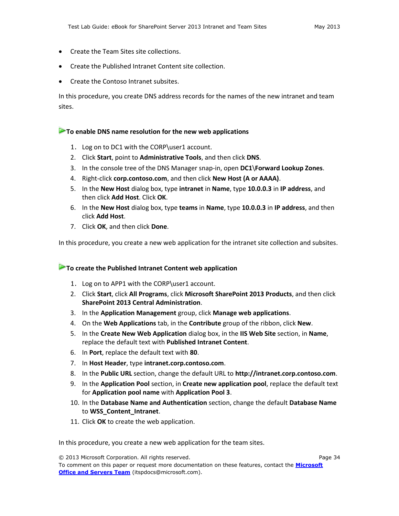- Create the Team Sites site collections.
- Create the Published Intranet Content site collection.
- Create the Contoso Intranet subsites.

In this procedure, you create DNS address records for the names of the new intranet and team sites.

#### **To enable DNS name resolution for the new web applications**

- 1. Log on to DC1 with the CORP\user1 account.
- 2. Click **Start**, point to **Administrative Tools**, and then click **DNS**.
- 3. In the console tree of the DNS Manager snap-in, open **DC1**\**Forward Lookup Zones**.
- 4. Right-click **corp.contoso.com**, and then click **New Host (A or AAAA)**.
- 5. In the **New Host** dialog box, type **intranet** in **Name**, type **10.0.0.3** in **IP address**, and then click **Add Host**. Click **OK**.
- 6. In the **New Host** dialog box, type **teams** in **Name**, type **10.0.0.3** in **IP address**, and then click **Add Host**.
- 7. Click **OK**, and then click **Done**.

In this procedure, you create a new web application for the intranet site collection and subsites.

#### **To create the Published Intranet Content web application**

- 1. Log on to APP1 with the CORP\user1 account.
- 2. Click **Start**, click **All Programs**, click **Microsoft SharePoint 2013 Products**, and then click **SharePoint 2013 Central Administration**.
- 3. In the **Application Management** group, click **Manage web applications**.
- 4. On the **Web Applications** tab, in the **Contribute** group of the ribbon, click **New**.
- 5. In the **Create New Web Application** dialog box, in the **IIS Web Site** section, in **Name**, replace the default text with **Published Intranet Content**.
- 6. In **Port**, replace the default text with **80**.
- 7. In **Host Header**, type **intranet.corp.contoso.com**.
- 8. In the **Public URL** section, change the default URL to **http://intranet.corp.contoso.com**.
- 9. In the **Application Pool** section, in **Create new application pool**, replace the default text for **Application pool name** with **Application Pool 3**.
- 10. In the **Database Name and Authentication** section, change the default **Database Name** to **WSS\_Content\_Intranet**.
- 11. Click **OK** to create the web application.

In this procedure, you create a new web application for the team sites.

© 2013 Microsoft Corporation. All rights reserved. Page 34

To comment on this paper or request more documentation on these features, contact the **[Microsoft](mailto:itspdocs@microsoft.com?subject=Test%20Lab%20Guide%20feedback:)  [Office and Servers Team](mailto:itspdocs@microsoft.com?subject=Test%20Lab%20Guide%20feedback:)** (itspdocs@microsoft.com).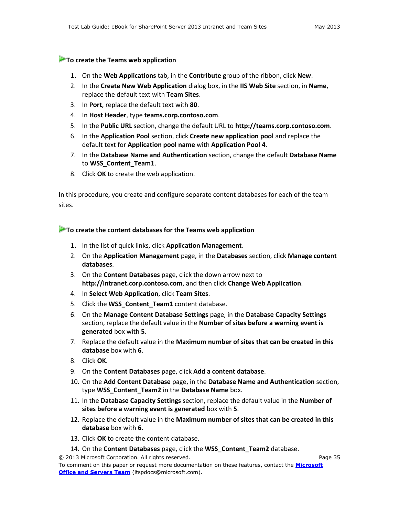#### **To create the Teams web application**

- 1. On the **Web Applications** tab, in the **Contribute** group of the ribbon, click **New**.
- 2. In the **Create New Web Application** dialog box, in the **IIS Web Site** section, in **Name**, replace the default text with **Team Sites**.
- 3. In **Port**, replace the default text with **80**.
- 4. In **Host Header**, type **teams.corp.contoso.com**.
- 5. In the **Public URL** section, change the default URL to **http://teams.corp.contoso.com**.
- 6. In the **Application Pool** section, click **Create new application pool** and replace the default text for **Application pool name** with **Application Pool 4**.
- 7. In the **Database Name and Authentication** section, change the default **Database Name** to **WSS\_Content\_Team1**.
- 8. Click **OK** to create the web application.

In this procedure, you create and configure separate content databases for each of the team sites.

#### **To create the content databases for the Teams web application**

- 1. In the list of quick links, click **Application Management**.
- 2. On the **Application Management** page, in the **Databases** section, click **Manage content databases**.
- 3. On the **Content Databases** page, click the down arrow next to **http://intranet.corp.contoso.com**, and then click **Change Web Application**.
- 4. In **Select Web Application**, click **Team Sites**.
- 5. Click the **WSS\_Content\_Team1** content database.
- 6. On the **Manage Content Database Settings** page, in the **Database Capacity Settings** section, replace the default value in the **Number of sites before a warning event is generated** box with **5**.
- 7. Replace the default value in the **Maximum number of sites that can be created in this database** box with **6**.
- 8. Click **OK**.
- 9. On the **Content Databases** page, click **Add a content database**.
- 10. On the **Add Content Database** page, in the **Database Name and Authentication** section, type **WSS\_Content\_Team2** in the **Database Name** box.
- 11. In the **Database Capacity Settings** section, replace the default value in the **Number of sites before a warning event is generated** box with **5**.
- 12. Replace the default value in the **Maximum number of sites that can be created in this database** box with **6**.
- 13. Click **OK** to create the content database.
- 14. On the **Content Databases** page, click the **WSS\_Content\_Team2** database.

© 2013 Microsoft Corporation. All rights reserved. Page 35 To comment on this paper or request more documentation on these features, contact the **[Microsoft](mailto:itspdocs@microsoft.com?subject=Test%20Lab%20Guide%20feedback:)  [Office and Servers Team](mailto:itspdocs@microsoft.com?subject=Test%20Lab%20Guide%20feedback:)** (itspdocs@microsoft.com).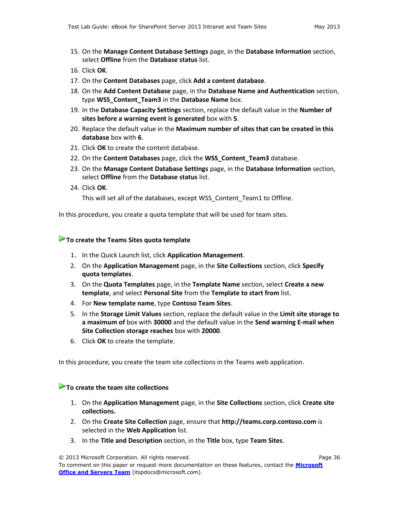- 15. On the **Manage Content Database Settings** page, in the **Database Information** section, select **Offline** from the **Database status** list.
- 16. Click **OK**.
- 17. On the **Content Databases** page, click **Add a content database**.
- 18. On the **Add Content Database** page, in the **Database Name and Authentication** section, type **WSS\_Content\_Team3** in the **Database Name** box.
- 19. In the **Database Capacity Settings** section, replace the default value in the **Number of sites before a warning event is generated** box with **5**.
- 20. Replace the default value in the **Maximum number of sites that can be created in this database** box with **6**.
- 21. Click **OK** to create the content database.
- 22. On the **Content Databases** page, click the **WSS\_Content\_Team3** database.
- 23. On the **Manage Content Database Settings** page, in the **Database Information** section, select **Offline** from the **Database status** list.
- 24. Click **OK**.

This will set all of the databases, except WSS\_Content\_Team1 to Offline.

In this procedure, you create a quota template that will be used for team sites.

#### **To create the Teams Sites quota template**

- 1. In the Quick Launch list, click **Application Management**.
- 2. On the **Application Management** page, in the **Site Collections** section, click **Specify quota templates**.
- 3. On the **Quota Templates** page, in the **Template Name** section, select **Create a new template**, and select **Personal Site** from the **Template to start from** list.
- 4. For **New template name**, type **Contoso Team Sites**.
- 5. In the **Storage Limit Values** section, replace the default value in the **Limit site storage to a maximum of** box with **30000** and the default value in the **Send warning E-mail when Site Collection storage reaches** box with **20000**.
- 6. Click **OK** to create the template.

In this procedure, you create the team site collections in the Teams web application.

#### **To create the team site collections**

- 1. On the **Application Management** page, in the **Site Collections** section, click **Create site collections.**
- 2. On the **Create Site Collection** page, ensure that **http://teams.corp.contoso.com** is selected in the **Web Application** list.
- 3. In the **Title and Description** section, in the **Title** box, type **Team Sites**.

© 2013 Microsoft Corporation. All rights reserved. Page 36

To comment on this paper or request more documentation on these features, contact the **[Microsoft](mailto:itspdocs@microsoft.com?subject=Test%20Lab%20Guide%20feedback:)  [Office and Servers Team](mailto:itspdocs@microsoft.com?subject=Test%20Lab%20Guide%20feedback:)** (itspdocs@microsoft.com).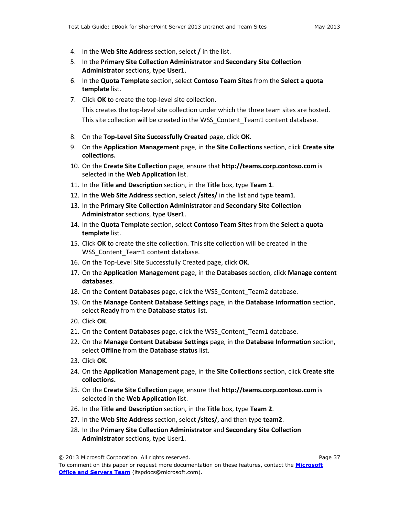- 4. In the **Web Site Address** section, select **/** in the list.
- 5. In the **Primary Site Collection Administrator** and **Secondary Site Collection Administrator** sections, type **User1**.
- 6. In the **Quota Template** section, select **Contoso Team Sites** from the **Select a quota template** list.
- 7. Click **OK** to create the top-level site collection. This creates the top-level site collection under which the three team sites are hosted. This site collection will be created in the WSS\_Content\_Team1 content database.
- 8. On the **Top-Level Site Successfully Created** page, click **OK**.
- 9. On the **Application Management** page, in the **Site Collections** section, click **Create site collections.**
- 10. On the **Create Site Collection** page, ensure that **http://teams.corp.contoso.com** is selected in the **Web Application** list.
- 11. In the **Title and Description** section, in the **Title** box, type **Team 1**.
- 12. In the **Web Site Address** section, select **/sites/** in the list and type **team1**.
- 13. In the **Primary Site Collection Administrator** and **Secondary Site Collection Administrator** sections, type **User1**.
- 14. In the **Quota Template** section, select **Contoso Team Sites** from the **Select a quota template** list.
- 15. Click **OK** to create the site collection. This site collection will be created in the WSS Content Team1 content database.
- 16. On the Top-Level Site Successfully Created page, click **OK**.
- 17. On the **Application Management** page, in the **Databases** section, click **Manage content databases**.
- 18. On the **Content Databases** page, click the WSS\_Content\_Team2 database.
- 19. On the **Manage Content Database Settings** page, in the **Database Information** section, select **Ready** from the **Database status** list.
- 20. Click **OK**.
- 21. On the **Content Databases** page, click the WSS\_Content\_Team1 database.
- 22. On the **Manage Content Database Settings** page, in the **Database Information** section, select **Offline** from the **Database status** list.
- 23. Click **OK**.
- 24. On the **Application Management** page, in the **Site Collections** section, click **Create site collections.**
- 25. On the **Create Site Collection** page, ensure that **http://teams.corp.contoso.com** is selected in the **Web Application** list.
- 26. In the **Title and Description** section, in the **Title** box, type **Team 2**.
- 27. In the **Web Site Address** section, select **/sites/**, and then type **team2**.
- 28. In the **Primary Site Collection Administrator** and **Secondary Site Collection Administrator** sections, type User1.

<sup>© 2013</sup> Microsoft Corporation. All rights reserved. Page 37

To comment on this paper or request more documentation on these features, contact the **[Microsoft](mailto:itspdocs@microsoft.com?subject=Test%20Lab%20Guide%20feedback:)  [Office and Servers Team](mailto:itspdocs@microsoft.com?subject=Test%20Lab%20Guide%20feedback:)** (itspdocs@microsoft.com).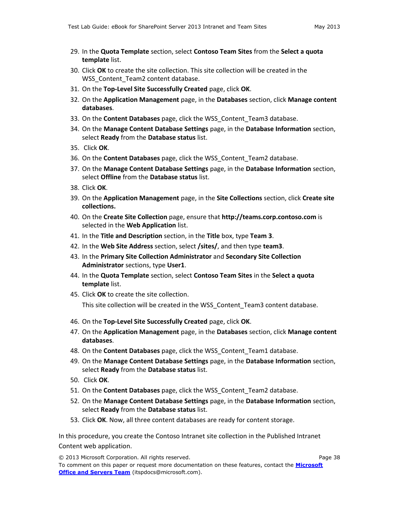- 29. In the **Quota Template** section, select **Contoso Team Sites** from the **Select a quota template** list.
- 30. Click **OK** to create the site collection. This site collection will be created in the WSS\_Content\_Team2 content database.
- 31. On the **Top-Level Site Successfully Created** page, click **OK**.
- 32. On the **Application Management** page, in the **Databases** section, click **Manage content databases**.
- 33. On the **Content Databases** page, click the WSS\_Content\_Team3 database.
- 34. On the **Manage Content Database Settings** page, in the **Database Information** section, select **Ready** from the **Database status** list.
- 35. Click **OK**.
- 36. On the **Content Databases** page, click the WSS\_Content\_Team2 database.
- 37. On the **Manage Content Database Settings** page, in the **Database Information** section, select **Offline** from the **Database status** list.
- 38. Click **OK**.
- 39. On the **Application Management** page, in the **Site Collections** section, click **Create site collections.**
- 40. On the **Create Site Collection** page, ensure that **http://teams.corp.contoso.com** is selected in the **Web Application** list.
- 41. In the **Title and Description** section, in the **Title** box, type **Team 3**.
- 42. In the **Web Site Address** section, select **/sites/**, and then type **team3**.
- 43. In the **Primary Site Collection Administrator** and **Secondary Site Collection Administrator** sections, type **User1**.
- 44. In the **Quota Template** section, select **Contoso Team Sites** in the **Select a quota template** list.
- 45. Click **OK** to create the site collection.

This site collection will be created in the WSS\_Content\_Team3 content database.

- 46. On the **Top-Level Site Successfully Created** page, click **OK**.
- 47. On the **Application Management** page, in the **Databases** section, click **Manage content databases**.
- 48. On the **Content Databases** page, click the WSS\_Content\_Team1 database.
- 49. On the **Manage Content Database Settings** page, in the **Database Information** section, select **Ready** from the **Database status** list.
- 50. Click **OK**.
- 51. On the **Content Databases** page, click the WSS\_Content\_Team2 database.
- 52. On the **Manage Content Database Settings** page, in the **Database Information** section, select **Ready** from the **Database status** list.
- 53. Click **OK**. Now, all three content databases are ready for content storage.

In this procedure, you create the Contoso Intranet site collection in the Published Intranet Content web application.

© 2013 Microsoft Corporation. All rights reserved. Page 38 To comment on this paper or request more documentation on these features, contact the **[Microsoft](mailto:itspdocs@microsoft.com?subject=Test%20Lab%20Guide%20feedback:)  [Office and Servers Team](mailto:itspdocs@microsoft.com?subject=Test%20Lab%20Guide%20feedback:)** (itspdocs@microsoft.com).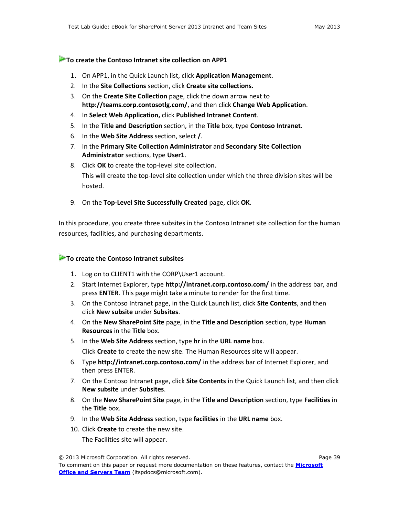#### **To create the Contoso Intranet site collection on APP1**

- 1. On APP1, in the Quick Launch list, click **Application Management**.
- 2. In the **Site Collections** section, click **Create site collections.**
- 3. On the **Create Site Collection** page, click the down arrow next to **http://teams.corp.contosotlg.com/**, and then click **Change Web Application**.
- 4. In **Select Web Application,** click **Published Intranet Content**.
- 5. In the **Title and Description** section, in the **Title** box, type **Contoso Intranet**.
- 6. In the **Web Site Address** section, select **/**.
- 7. In the **Primary Site Collection Administrator** and **Secondary Site Collection Administrator** sections, type **User1**.
- 8. Click **OK** to create the top-level site collection. This will create the top-level site collection under which the three division sites will be hosted.
- 9. On the **Top-Level Site Successfully Created** page, click **OK**.

In this procedure, you create three subsites in the Contoso Intranet site collection for the human resources, facilities, and purchasing departments.

#### **To create the Contoso Intranet subsites**

- 1. Log on to CLIENT1 with the CORP\User1 account.
- 2. Start Internet Explorer, type **http://intranet.corp.contoso.com/** in the address bar, and press **ENTER**. This page might take a minute to render for the first time.
- 3. On the Contoso Intranet page, in the Quick Launch list, click **Site Contents**, and then click **New subsite** under **Subsites**.
- 4. On the **New SharePoint Site** page, in the **Title and Description** section, type **Human Resources** in the **Title** box.
- 5. In the **Web Site Address** section, type **hr** in the **URL name** box. Click **Create** to create the new site. The Human Resources site will appear.
- 6. Type **http://intranet.corp.contoso.com/** in the address bar of Internet Explorer, and then press ENTER.
- 7. On the Contoso Intranet page, click **Site Contents** in the Quick Launch list, and then click **New subsite** under **Subsites**.
- 8. On the **New SharePoint Site** page, in the **Title and Description** section, type **Facilities** in the **Title** box.
- 9. In the **Web Site Address** section, type **facilities** in the **URL name** box.
- 10. Click **Create** to create the new site.

The Facilities site will appear.

<sup>© 2013</sup> Microsoft Corporation. All rights reserved. Page 39

To comment on this paper or request more documentation on these features, contact the **[Microsoft](mailto:itspdocs@microsoft.com?subject=Test%20Lab%20Guide%20feedback:)  [Office and Servers Team](mailto:itspdocs@microsoft.com?subject=Test%20Lab%20Guide%20feedback:)** (itspdocs@microsoft.com).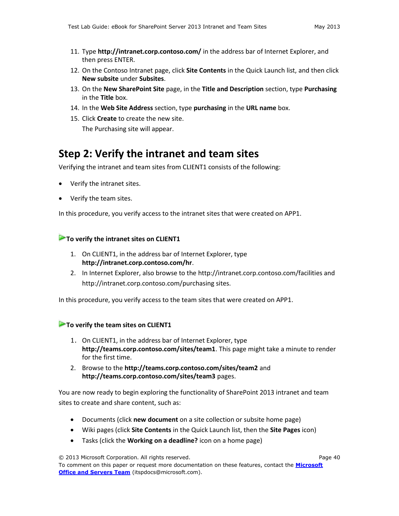- 11. Type **http://intranet.corp.contoso.com/** in the address bar of Internet Explorer, and then press ENTER.
- 12. On the Contoso Intranet page, click **Site Contents** in the Quick Launch list, and then click **New subsite** under **Subsites**.
- 13. On the **New SharePoint Site** page, in the **Title and Description** section, type **Purchasing** in the **Title** box.
- 14. In the **Web Site Address** section, type **purchasing** in the **URL name** box.
- 15. Click **Create** to create the new site.

The Purchasing site will appear.

## <span id="page-39-0"></span>**Step 2: Verify the intranet and team sites**

Verifying the intranet and team sites from CLIENT1 consists of the following:

- Verify the intranet sites.
- Verify the team sites.

In this procedure, you verify access to the intranet sites that were created on APP1.

#### **To verify the intranet sites on CLIENT1**

- 1. On CLIENT1, in the address bar of Internet Explorer, type **http://intranet.corp.contoso.com/hr**.
- 2. In Internet Explorer, also browse to the http://intranet.corp.contoso.com/facilities and http://intranet.corp.contoso.com/purchasing sites.

In this procedure, you verify access to the team sites that were created on APP1.

#### **To verify the team sites on CLIENT1**

- 1. On CLIENT1, in the address bar of Internet Explorer, type **http://teams.corp.contoso.com/sites/team1**. This page might take a minute to render for the first time.
- 2. Browse to the **http://teams.corp.contoso.com/sites/team2** and **http://teams.corp.contoso.com/sites/team3** pages.

You are now ready to begin exploring the functionality of SharePoint 2013 intranet and team sites to create and share content, such as:

- Documents (click **new document** on a site collection or subsite home page)
- Wiki pages (click **Site Contents** in the Quick Launch list, then the **Site Pages** icon)
- Tasks (click the **Working on a deadline?** icon on a home page)

© 2013 Microsoft Corporation. All rights reserved. Page 40

To comment on this paper or request more documentation on these features, contact the **[Microsoft](mailto:itspdocs@microsoft.com?subject=Test%20Lab%20Guide%20feedback:)  [Office and Servers Team](mailto:itspdocs@microsoft.com?subject=Test%20Lab%20Guide%20feedback:)** (itspdocs@microsoft.com).